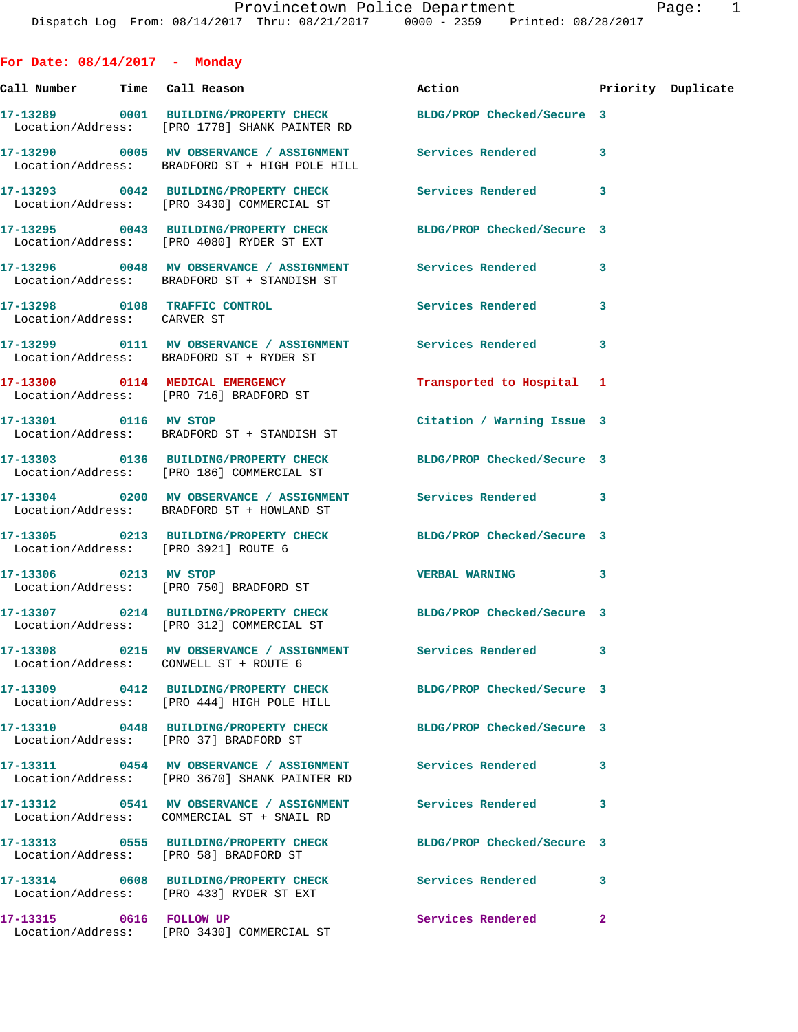**For Date: 08/14/2017 - Monday Call Number Time Call Reason Action Priority Duplicate 17-13289 0001 BUILDING/PROPERTY CHECK BLDG/PROP Checked/Secure 3**  Location/Address: [PRO 1778] SHANK PAINTER RD **17-13290 0005 MV OBSERVANCE / ASSIGNMENT Services Rendered 3**  Location/Address: BRADFORD ST + HIGH POLE HILL **17-13293 0042 BUILDING/PROPERTY CHECK Services Rendered 3**  Location/Address: [PRO 3430] COMMERCIAL ST **17-13295 0043 BUILDING/PROPERTY CHECK BLDG/PROP Checked/Secure 3**  Location/Address: [PRO 4080] RYDER ST EXT **17-13296 0048 MV OBSERVANCE / ASSIGNMENT Services Rendered 3**  Location/Address: BRADFORD ST + STANDISH ST **17-13298 0108 TRAFFIC CONTROL Services Rendered 3**  Location/Address: CARVER ST **17-13299 0111 MV OBSERVANCE / ASSIGNMENT Services Rendered 3**  Location/Address: BRADFORD ST + RYDER ST **17-13300 0114 MEDICAL EMERGENCY Transported to Hospital 1**  Location/Address: [PRO 716] BRADFORD ST **17-13301 0116 MV STOP Citation / Warning Issue 3**  Location/Address: BRADFORD ST + STANDISH ST **17-13303 0136 BUILDING/PROPERTY CHECK BLDG/PROP Checked/Secure 3**  Location/Address: [PRO 186] COMMERCIAL ST **17-13304 0200 MV OBSERVANCE / ASSIGNMENT Services Rendered 3**  Location/Address: BRADFORD ST + HOWLAND ST **17-13305 0213 BUILDING/PROPERTY CHECK BLDG/PROP Checked/Secure 3**  Location/Address: [PRO 3921] ROUTE 6 **17-13306 0213 MV STOP VERBAL WARNING 3**  Location/Address: [PRO 750] BRADFORD ST **17-13307 0214 BUILDING/PROPERTY CHECK BLDG/PROP Checked/Secure 3**  Location/Address: [PRO 312] COMMERCIAL ST **17-13308 0215 MV OBSERVANCE / ASSIGNMENT Services Rendered 3**  Location/Address: CONWELL ST + ROUTE 6 **17-13309 0412 BUILDING/PROPERTY CHECK BLDG/PROP Checked/Secure 3**  Location/Address: [PRO 444] HIGH POLE HILL **17-13310 0448 BUILDING/PROPERTY CHECK BLDG/PROP Checked/Secure 3**  Location/Address: [PRO 37] BRADFORD ST **17-13311 0454 MV OBSERVANCE / ASSIGNMENT Services Rendered 3**  Location/Address: [PRO 3670] SHANK PAINTER RD **17-13312 0541 MV OBSERVANCE / ASSIGNMENT Services Rendered 3**  Location/Address: COMMERCIAL ST + SNAIL RD **17-13313 0555 BUILDING/PROPERTY CHECK BLDG/PROP Checked/Secure 3**  Location/Address: [PRO 58] BRADFORD ST **17-13314 0608 BUILDING/PROPERTY CHECK Services Rendered 3**  Location/Address: [PRO 433] RYDER ST EXT

**17-13315 0616 FOLLOW UP Services Rendered 2**  Location/Address: [PRO 3430] COMMERCIAL ST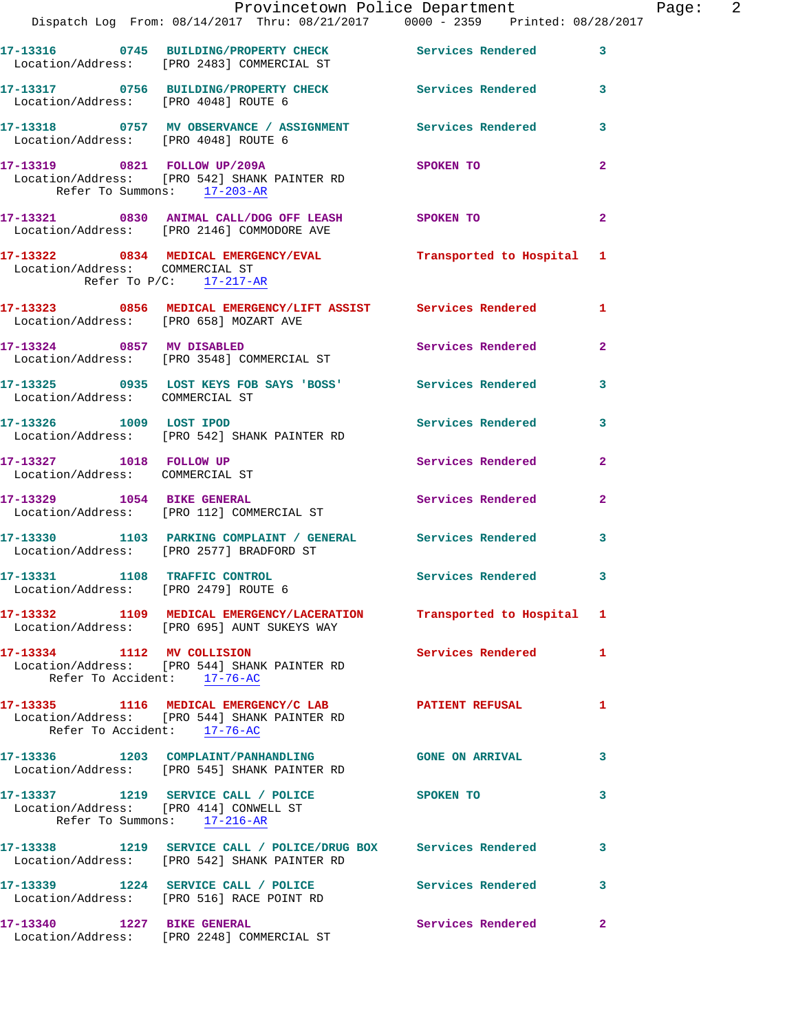|                                                                       | Dispatch Log From: 08/14/2017 Thru: 08/21/2017 0000 - 2359 Printed: 08/28/2017                                      | Provincetown Police Department |                | Page: $2$ |  |
|-----------------------------------------------------------------------|---------------------------------------------------------------------------------------------------------------------|--------------------------------|----------------|-----------|--|
|                                                                       | 17-13316 0745 BUILDING/PROPERTY CHECK Services Rendered<br>Location/Address: [PRO 2483] COMMERCIAL ST               |                                | 3              |           |  |
|                                                                       | 17-13317 0756 BUILDING/PROPERTY CHECK Services Rendered 3<br>Location/Address: [PRO 4048] ROUTE 6                   |                                |                |           |  |
|                                                                       | 17-13318     0757   MV OBSERVANCE / ASSIGNMENT       Services Rendered<br>Location/Address:    [PRO 4048] ROUTE 6   |                                | 3              |           |  |
| Refer To Summons: 17-203-AR                                           | 17-13319 0821 FOLLOW UP/209A SPOKEN TO<br>Location/Address: [PRO 542] SHANK PAINTER RD                              |                                | $\overline{a}$ |           |  |
|                                                                       | 17-13321 0830 ANIMAL CALL/DOG OFF LEASH SPOKEN TO<br>Location/Address: [PRO 2146] COMMODORE AVE                     |                                | $\overline{a}$ |           |  |
| Location/Address: COMMERCIAL ST<br>Refer To $P/C$ : 17-217-AR         | 17-13322 0834 MEDICAL EMERGENCY/EVAL Transported to Hospital 1                                                      |                                |                |           |  |
| Location/Address: [PRO 658] MOZART AVE                                | 17-13323 0856 MEDICAL EMERGENCY/LIFT ASSIST Services Rendered 1                                                     |                                |                |           |  |
|                                                                       | 17-13324 0857 MV DISABLED<br>Location/Address: [PRO 3548] COMMERCIAL ST                                             | Services Rendered              | $\mathbf{2}$   |           |  |
| Location/Address: COMMERCIAL ST                                       | 17-13325 0935 LOST KEYS FOB SAYS 'BOSS' Services Rendered                                                           |                                | 3              |           |  |
|                                                                       | 17-13326 1009 LOST IPOD<br>Location/Address: [PRO 542] SHANK PAINTER RD                                             | Services Rendered 3            |                |           |  |
| 17-13327 1018 FOLLOW UP<br>Location/Address: COMMERCIAL ST            |                                                                                                                     | Services Rendered              | $\overline{2}$ |           |  |
|                                                                       | 17-13329 1054 BIKE GENERAL<br>Location/Address: [PRO 112] COMMERCIAL ST                                             | Services Rendered 2            |                |           |  |
|                                                                       | 17-13330 1103 PARKING COMPLAINT / GENERAL Services Rendered<br>Location/Address: [PRO 2577] BRADFORD ST             |                                | 3              |           |  |
| Location/Address: [PRO 2479] ROUTE 6                                  | 17-13331 1108 TRAFFIC CONTROL                                                                                       | Services Rendered 3            |                |           |  |
|                                                                       | 17-13332 1109 MEDICAL EMERGENCY/LACERATION Transported to Hospital 1<br>Location/Address: [PRO 695] AUNT SUKEYS WAY |                                |                |           |  |
| Refer To Accident: 17-76-AC                                           | 17-13334 1112 MV COLLISION<br>Location/Address: [PRO 544] SHANK PAINTER RD                                          | Services Rendered 1            |                |           |  |
| Refer To Accident: 17-76-AC                                           | 17-13335 1116 MEDICAL EMERGENCY/C LAB PATIENT REFUSAL<br>Location/Address: [PRO 544] SHANK PAINTER RD               |                                | 1.             |           |  |
|                                                                       | 17-13336 1203 COMPLAINT/PANHANDLING GONE ON ARRIVAL<br>Location/Address: [PRO 545] SHANK PAINTER RD                 |                                | 3              |           |  |
| Location/Address: [PRO 414] CONWELL ST<br>Refer To Summons: 17-216-AR | 17-13337 1219 SERVICE CALL / POLICE SPOKEN TO                                                                       |                                | 3              |           |  |
|                                                                       | 17-13338 1219 SERVICE CALL / POLICE/DRUG BOX Services Rendered<br>Location/Address: [PRO 542] SHANK PAINTER RD      |                                | 3              |           |  |
|                                                                       |                                                                                                                     |                                | 3              |           |  |
| 17-13340 1227 BIKE GENERAL                                            | Location/Address: [PRO 2248] COMMERCIAL ST                                                                          | <b>Services Rendered</b>       | $\mathbf{2}$   |           |  |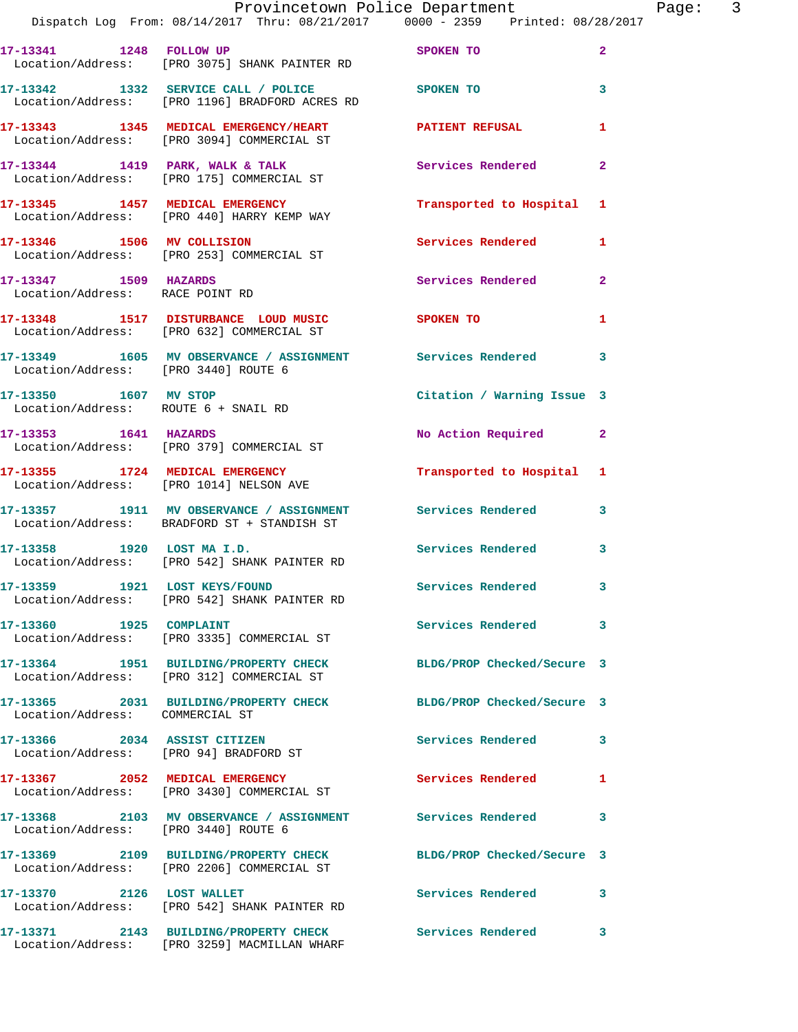|                                      | Provincetown Police Department Fage: 3<br>Dispatch Log From: 08/14/2017 Thru: 08/21/2017 0000 - 2359 Printed: 08/28/2017 |                            |                |
|--------------------------------------|--------------------------------------------------------------------------------------------------------------------------|----------------------------|----------------|
|                                      | 17-13341 1248 FOLLOW UP SPOKEN TO<br>Location/Address: [PRO 3075] SHANK PAINTER RD                                       |                            | $\overline{2}$ |
|                                      | 17-13342 1332 SERVICE CALL / POLICE SPOKEN TO<br>Location/Address: [PRO 1196] BRADFORD ACRES RD                          |                            | $\mathbf{3}$   |
|                                      | 17-13343      1345   MEDICAL EMERGENCY/HEART        PATIENT REFUSAL<br>Location/Address:   [PRO 3094] COMMERCIAL ST      |                            | 1              |
|                                      | 17-13344 1419 PARK, WALK & TALK 175 Services Rendered Location/Address: [PRO 175] COMMERCIAL ST                          |                            | $\mathbf{2}$   |
|                                      | 17-13345 1457 MEDICAL EMERGENCY<br>Location/Address: [PRO 440] HARRY KEMP WAY                                            | Transported to Hospital 1  |                |
|                                      | 17-13346 1506 MV COLLISION<br>Location/Address: [PRO 253] COMMERCIAL ST                                                  | Services Rendered 1        |                |
| 17-13347 1509 HAZARDS                | Location/Address: RACE POINT RD                                                                                          | Services Rendered          | $\overline{2}$ |
|                                      | 17-13348 1517 DISTURBANCE LOUD MUSIC SPOKEN TO<br>Location/Address: [PRO 632] COMMERCIAL ST                              |                            | 1              |
| Location/Address: [PRO 3440] ROUTE 6 | 17-13349 1605 MV OBSERVANCE / ASSIGNMENT Services Rendered 3                                                             |                            |                |
| Location/Address: ROUTE 6 + SNAIL RD | 17-13350 1607 MV STOP                                                                                                    | Citation / Warning Issue 3 |                |
| 17-13353 1641 HAZARDS                | Location/Address: [PRO 379] COMMERCIAL ST                                                                                | No Action Required 2       |                |
|                                      | 17-13355 1724 MEDICAL EMERGENCY<br>Location/Address: [PRO 1014] NELSON AVE                                               | Transported to Hospital 1  |                |
|                                      | 17-13357 1911 MV OBSERVANCE / ASSIGNMENT Services Rendered 3<br>Location/Address: BRADFORD ST + STANDISH ST              |                            |                |
|                                      | 17-13358 1920 LOST MA I.D.<br>Location/Address: [PRO 542] SHANK PAINTER RD                                               | Services Rendered 3        |                |
|                                      | 17-13359 1921 LOST KEYS/FOUND Services Rendered<br>Location/Address: [PRO 542] SHANK PAINTER RD                          |                            |                |
| 17-13360 1925 COMPLAINT              | Location/Address: [PRO 3335] COMMERCIAL ST                                                                               | Services Rendered          | 3              |
|                                      | 17-13364 1951 BUILDING/PROPERTY CHECK<br>Location/Address: [PRO 312] COMMERCIAL ST                                       | BLDG/PROP Checked/Secure 3 |                |
| Location/Address: COMMERCIAL ST      | 17-13365 2031 BUILDING/PROPERTY CHECK BLDG/PROP Checked/Secure 3                                                         |                            |                |
| 17-13366 2034 ASSIST CITIZEN         | Location/Address: [PRO 94] BRADFORD ST                                                                                   | Services Rendered 3        |                |
|                                      | 17-13367 2052 MEDICAL EMERGENCY<br>Location/Address: [PRO 3430] COMMERCIAL ST                                            | Services Rendered          | 1              |
| Location/Address: [PRO 3440] ROUTE 6 | 17-13368 2103 MV OBSERVANCE / ASSIGNMENT Services Rendered                                                               |                            | 3              |
|                                      | 17-13369 2109 BUILDING/PROPERTY CHECK<br>Location/Address: [PRO 2206] COMMERCIAL ST                                      | BLDG/PROP Checked/Secure 3 |                |
| 17-13370 2126 LOST WALLET            | Location/Address: [PRO 542] SHANK PAINTER RD                                                                             | Services Rendered          | 3              |
|                                      | 17-13371 2143 BUILDING/PROPERTY CHECK Services Rendered 3                                                                |                            |                |

Location/Address: [PRO 3259] MACMILLAN WHARF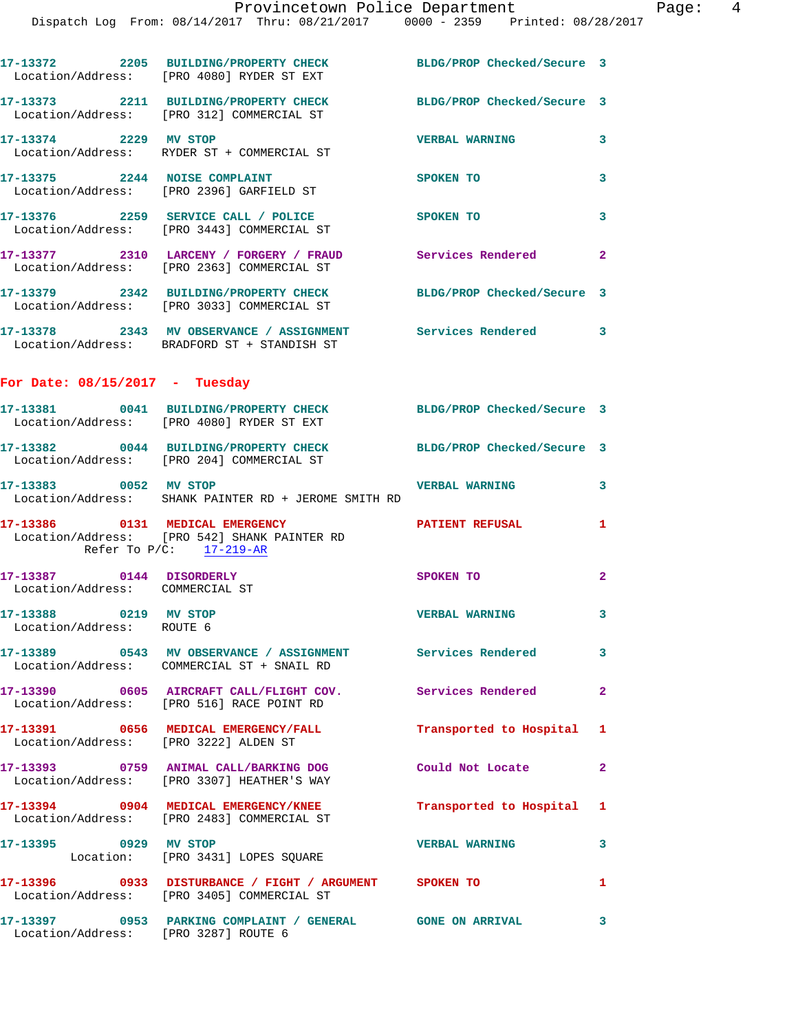Dispatch Log From: 08/14/2017 Thru: 08/21/2017 0000 - 2359 Printed: 08/28/2017

|                                                             | 17-13372 2205 BUILDING/PROPERTY CHECK<br>Location/Address: [PRO 4080] RYDER ST EXT                            | BLDG/PROP Checked/Secure 3 |                         |
|-------------------------------------------------------------|---------------------------------------------------------------------------------------------------------------|----------------------------|-------------------------|
|                                                             | 17-13373 2211 BUILDING/PROPERTY CHECK<br>Location/Address: [PRO 312] COMMERCIAL ST                            | BLDG/PROP Checked/Secure 3 |                         |
| 17-13374 2229 MV STOP                                       | Location/Address: RYDER ST + COMMERCIAL ST                                                                    | <b>VERBAL WARNING</b>      | 3                       |
|                                                             | 17-13375 2244 NOISE COMPLAINT<br>Location/Address: [PRO 2396] GARFIELD ST                                     | SPOKEN TO                  | 3                       |
|                                                             | 17-13376 2259 SERVICE CALL / POLICE<br>Location/Address: [PRO 3443] COMMERCIAL ST                             | SPOKEN TO                  | 3                       |
|                                                             | 17-13377 2310 LARCENY / FORGERY / FRAUD Services Rendered<br>Location/Address: [PRO 2363] COMMERCIAL ST       |                            | $\mathbf{2}$            |
|                                                             | 17-13379 2342 BUILDING/PROPERTY CHECK<br>Location/Address: [PRO 3033] COMMERCIAL ST                           | BLDG/PROP Checked/Secure 3 |                         |
|                                                             | 17-13378 2343 MV OBSERVANCE / ASSIGNMENT Services Rendered<br>Location/Address: BRADFORD ST + STANDISH ST     |                            | -3                      |
| For Date: $08/15/2017$ - Tuesday                            |                                                                                                               |                            |                         |
|                                                             | 17-13381 0041 BUILDING/PROPERTY CHECK<br>Location/Address: [PRO 4080] RYDER ST EXT                            | BLDG/PROP Checked/Secure 3 |                         |
|                                                             | 17-13382 0044 BUILDING/PROPERTY CHECK<br>Location/Address: [PRO 204] COMMERCIAL ST                            | BLDG/PROP Checked/Secure 3 |                         |
| 17-13383 0052 MV STOP                                       | Location/Address: SHANK PAINTER RD + JEROME SMITH RD                                                          | <b>VERBAL WARNING</b>      | 3                       |
|                                                             | 17-13386 0131 MEDICAL EMERGENCY<br>Location/Address: [PRO 542] SHANK PAINTER RD<br>Refer To $P/C$ : 17-219-AR | <b>PATIENT REFUSAL</b>     | 1                       |
| 17-13387 0144 DISORDERLY<br>Location/Address: COMMERCIAL ST |                                                                                                               | SPOKEN TO                  | 2                       |
| 0219 MV STOP<br>17-13388<br>Location/Address: ROUTE 6       |                                                                                                               | <b>VERBAL WARNING</b>      | 3                       |
|                                                             | 17-13389 0543 MV OBSERVANCE / ASSIGNMENT Services Rendered<br>Location/Address: COMMERCIAL ST + SNAIL RD      |                            | 3                       |
|                                                             | 17-13390 0605 AIRCRAFT CALL/FLIGHT COV. Services Rendered<br>Location/Address: [PRO 516] RACE POINT RD        |                            | $\overline{\mathbf{2}}$ |
| Location/Address: [PRO 3222] ALDEN ST                       | 17-13391 0656 MEDICAL EMERGENCY/FALL                                                                          | Transported to Hospital    | 1                       |
|                                                             | 17-13393 0759 ANIMAL CALL/BARKING DOG<br>Location/Address: [PRO 3307] HEATHER'S WAY                           | Could Not Locate           | $\overline{\mathbf{2}}$ |
|                                                             | 17-13394 0904 MEDICAL EMERGENCY/KNEE<br>Location/Address: [PRO 2483] COMMERCIAL ST                            | Transported to Hospital    | 1                       |
| 17-13395 0929 MV STOP                                       | Location: [PRO 3431] LOPES SQUARE                                                                             | <b>VERBAL WARNING</b>      | 3                       |
|                                                             | 17-13396 0933 DISTURBANCE / FIGHT / ARGUMENT SPOKEN TO<br>Location/Address: [PRO 3405] COMMERCIAL ST          |                            | 1                       |
| Location/Address: [PRO 3287] ROUTE 6                        | 17-13397 0953 PARKING COMPLAINT / GENERAL GONE ON ARRIVAL                                                     |                            | 3                       |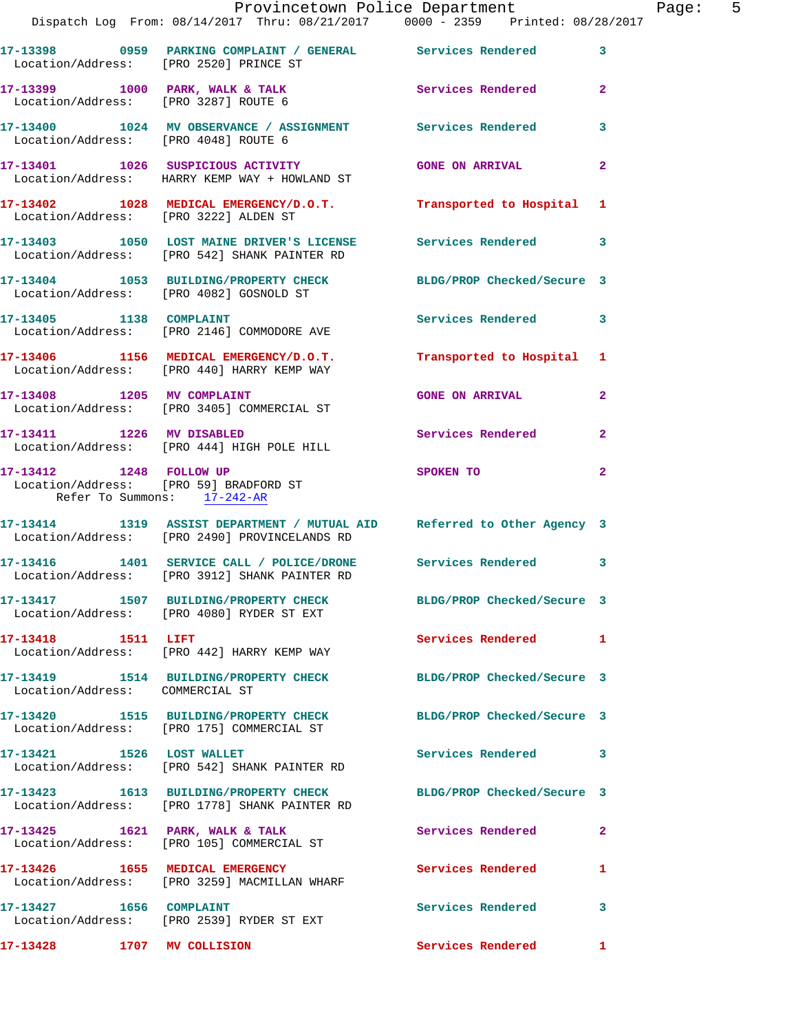|                                 | Provincetown Police Department<br>Dispatch Log From: 08/14/2017 Thru: 08/21/2017   0000 - 2359   Printed: 08/28/2017     |                            | Page: 5      |
|---------------------------------|--------------------------------------------------------------------------------------------------------------------------|----------------------------|--------------|
|                                 | 17-13398 0959 PARKING COMPLAINT / GENERAL Services Rendered 3<br>Location/Address: [PRO 2520] PRINCE ST                  |                            |              |
|                                 | 17-13399 1000 PARK, WALK & TALK Services Rendered 2<br>Location/Address: [PRO 3287] ROUTE 6                              |                            |              |
|                                 | 17-13400 1024 MV OBSERVANCE / ASSIGNMENT Services Rendered 3<br>Location/Address: [PRO 4048] ROUTE 6                     |                            |              |
|                                 | 17-13401 1026 SUSPICIOUS ACTIVITY GONE ON ARRIVAL<br>Location/Address: HARRY KEMP WAY + HOWLAND ST                       |                            | $\mathbf{2}$ |
|                                 | 17-13402 1028 MEDICAL EMERGENCY/D.O.T. Transported to Hospital 1<br>Location/Address: [PRO 3222] ALDEN ST                |                            |              |
|                                 | 17-13403 1050 LOST MAINE DRIVER'S LICENSE Services Rendered 3<br>Location/Address: [PRO 542] SHANK PAINTER RD            |                            |              |
|                                 | 17-13404 1053 BUILDING/PROPERTY CHECK BLDG/PROP Checked/Secure 3<br>Location/Address: [PRO 4082] GOSNOLD ST              |                            |              |
|                                 | 17-13405 1138 COMPLAINT<br>Location/Address: [PRO 2146] COMMODORE AVE                                                    | Services Rendered 3        |              |
|                                 | 17-13406 1156 MEDICAL EMERGENCY/D.O.T. Transported to Hospital 1<br>Location/Address: [PRO 440] HARRY KEMP WAY           |                            |              |
|                                 | 17-13408 1205 MV COMPLAINT<br>Location/Address: [PRO 3405] COMMERCIAL ST                                                 | <b>GONE ON ARRIVAL</b>     | $\mathbf{2}$ |
| 17-13411 1226 MV DISABLED       | Location/Address: [PRO 444] HIGH POLE HILL                                                                               | Services Rendered 2        |              |
| Refer To Summons: 17-242-AR     | 17-13412 1248 FOLLOW UP<br>Location/Address: [PRO 59] BRADFORD ST                                                        | SPOKEN TO                  | $\mathbf{2}$ |
|                                 | 17-13414 1319 ASSIST DEPARTMENT / MUTUAL AID Referred to Other Agency 3<br>Location/Address: [PRO 2490] PROVINCELANDS RD |                            |              |
|                                 | 17-13416 1401 SERVICE CALL / POLICE/DRONE Services Rendered 3<br>Location/Address: [PRO 3912] SHANK PAINTER RD           |                            |              |
|                                 | 17-13417 1507 BUILDING/PROPERTY CHECK BLDG/PROP Checked/Secure 3<br>Location/Address: [PRO 4080] RYDER ST EXT            |                            |              |
| 17-13418 1511 LIFT              | Location/Address: [PRO 442] HARRY KEMP WAY                                                                               | Services Rendered 1        |              |
| Location/Address: COMMERCIAL ST | 17-13419 1514 BUILDING/PROPERTY CHECK BLDG/PROP Checked/Secure 3                                                         |                            |              |
|                                 | 17-13420 1515 BUILDING/PROPERTY CHECK<br>Location/Address: [PRO 175] COMMERCIAL ST                                       | BLDG/PROP Checked/Secure 3 |              |
| 17-13421 1526 LOST WALLET       | Location/Address: [PRO 542] SHANK PAINTER RD                                                                             | Services Rendered 3        |              |
|                                 | 17-13423 1613 BUILDING/PROPERTY CHECK<br>Location/Address: [PRO 1778] SHANK PAINTER RD                                   | BLDG/PROP Checked/Secure 3 |              |
|                                 | 17-13425 1621 PARK, WALK & TALK<br>Location/Address: [PRO 105] COMMERCIAL ST                                             | Services Rendered          | 2            |
|                                 | 17-13426 1655 MEDICAL EMERGENCY<br>Location/Address: [PRO 3259] MACMILLAN WHARF                                          | Services Rendered          | 1            |
|                                 | Location/Address: [PRO 2539] RYDER ST EXT                                                                                | Services Rendered          | 3            |
| 17-13428 1707 MV COLLISION      |                                                                                                                          | Services Rendered          | $\mathbf{1}$ |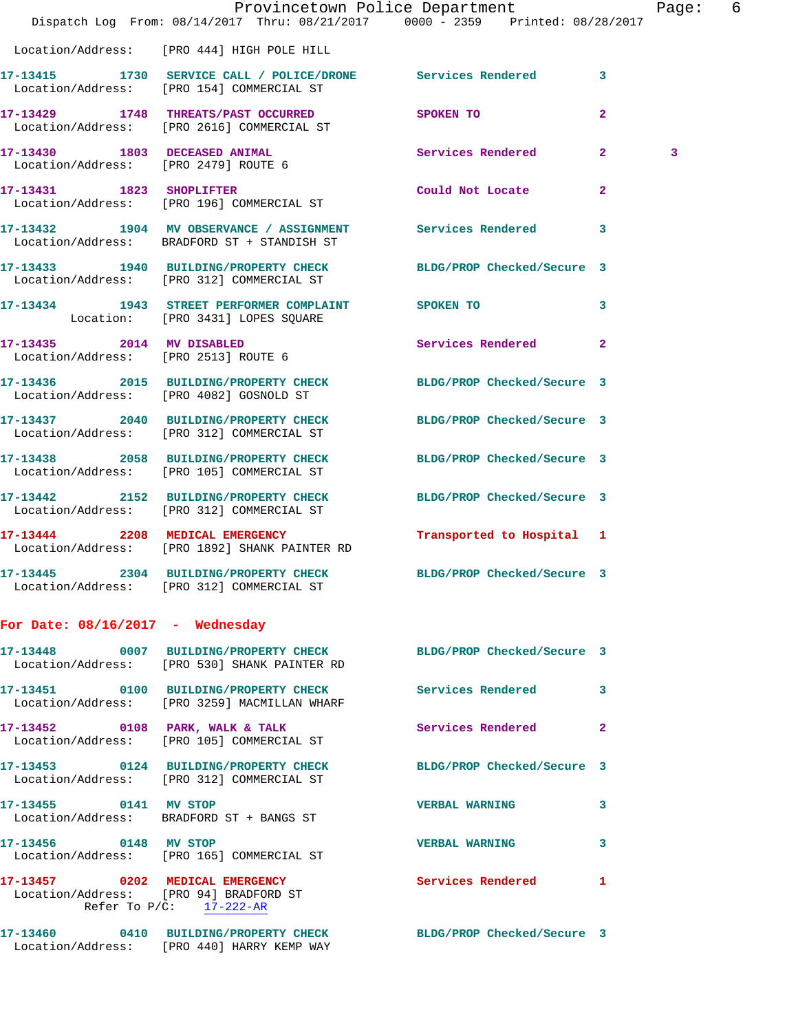|                                                                   | Dispatch Log From: 08/14/2017 Thru: 08/21/2017 0000 - 2359 Printed: 08/28/2017                                   | Provincetown Police Department |              | Page: 6 |  |
|-------------------------------------------------------------------|------------------------------------------------------------------------------------------------------------------|--------------------------------|--------------|---------|--|
|                                                                   | Location/Address: [PRO 444] HIGH POLE HILL                                                                       |                                |              |         |  |
|                                                                   | 17-13415 1730 SERVICE CALL / POLICE/DRONE Services Rendered 3<br>Location/Address: [PRO 154] COMMERCIAL ST       |                                |              |         |  |
|                                                                   | 17-13429 1748 THREATS/PAST OCCURRED<br>Location/Address: [PRO 2616] COMMERCIAL ST                                | SPOKEN TO                      | $\mathbf{2}$ |         |  |
|                                                                   | 17-13430 1803 DECEASED ANIMAL<br>Location/Address: [PRO 2479] ROUTE 6                                            | Services Rendered 2            |              | 3       |  |
|                                                                   | 17-13431 1823 SHOPLIFTER<br>Location/Address: [PRO 196] COMMERCIAL ST                                            | Could Not Locate               | $\mathbf{2}$ |         |  |
|                                                                   | 17-13432 1904 MV OBSERVANCE / ASSIGNMENT Services Rendered 3<br>Location/Address: BRADFORD ST + STANDISH ST      |                                |              |         |  |
|                                                                   | 17-13433 1940 BUILDING/PROPERTY CHECK BLDG/PROP Checked/Secure 3<br>Location/Address: [PRO 312] COMMERCIAL ST    |                                |              |         |  |
|                                                                   | 17-13434 1943 STREET PERFORMER COMPLAINT SPOKEN TO<br>Location: [PRO 3431] LOPES SQUARE                          |                                | 3            |         |  |
| 17-13435 2014 MV DISABLED<br>Location/Address: [PRO 2513] ROUTE 6 |                                                                                                                  | Services Rendered              | $\mathbf{2}$ |         |  |
|                                                                   | 17-13436 2015 BUILDING/PROPERTY CHECK BLDG/PROP Checked/Secure 3<br>Location/Address: [PRO 4082] GOSNOLD ST      |                                |              |         |  |
|                                                                   | 17-13437 2040 BUILDING/PROPERTY CHECK BLDG/PROP Checked/Secure 3<br>Location/Address: [PRO 312] COMMERCIAL ST    |                                |              |         |  |
|                                                                   | 17-13438 2058 BUILDING/PROPERTY CHECK BLDG/PROP Checked/Secure 3<br>Location/Address: [PRO 105] COMMERCIAL ST    |                                |              |         |  |
|                                                                   | 17-13442 2152 BUILDING/PROPERTY CHECK BLDG/PROP Checked/Secure 3<br>Location/Address: [PRO 312] COMMERCIAL ST    |                                |              |         |  |
|                                                                   | 17-13444 2208 MEDICAL EMERGENCY<br>Location/Address: [PRO 1892] SHANK PAINTER RD                                 | Transported to Hospital 1      |              |         |  |
|                                                                   | 17-13445 2304 BUILDING/PROPERTY CHECK BLDG/PROP Checked/Secure 3<br>Location/Address: [PRO 312] COMMERCIAL ST    |                                |              |         |  |
| For Date: $08/16/2017$ - Wednesday                                |                                                                                                                  |                                |              |         |  |
|                                                                   | 17-13448 0007 BUILDING/PROPERTY CHECK BLDG/PROP Checked/Secure 3<br>Location/Address: [PRO 530] SHANK PAINTER RD |                                |              |         |  |
|                                                                   | 17-13451 0100 BUILDING/PROPERTY CHECK Services Rendered 3<br>Location/Address: [PRO 3259] MACMILLAN WHARF        |                                |              |         |  |
|                                                                   | 17-13452 0108 PARK, WALK & TALK<br>Location/Address: [PRO 105] COMMERCIAL ST                                     | Services Rendered 2            |              |         |  |
|                                                                   | 17-13453 0124 BUILDING/PROPERTY CHECK BLDG/PROP Checked/Secure 3<br>Location/Address: [PRO 312] COMMERCIAL ST    |                                |              |         |  |
| 17-13455 0141 MV STOP                                             | Location/Address: BRADFORD ST + BANGS ST                                                                         | VERBAL WARNING 3               |              |         |  |
| 17-13456 0148 MV STOP                                             | Location/Address: [PRO 165] COMMERCIAL ST                                                                        | <b>VERBAL WARNING</b>          | 3            |         |  |
|                                                                   | 17-13457 0202 MEDICAL EMERGENCY<br>Location/Address: [PRO 94] BRADFORD ST<br>Refer To P/C: 17-222-AR             | Services Rendered 1            |              |         |  |
|                                                                   | 17-13460 0410 BUILDING/PROPERTY CHECK BLDG/PROP Checked/Secure 3<br>Location/Address: [PRO 440] HARRY KEMP WAY   |                                |              |         |  |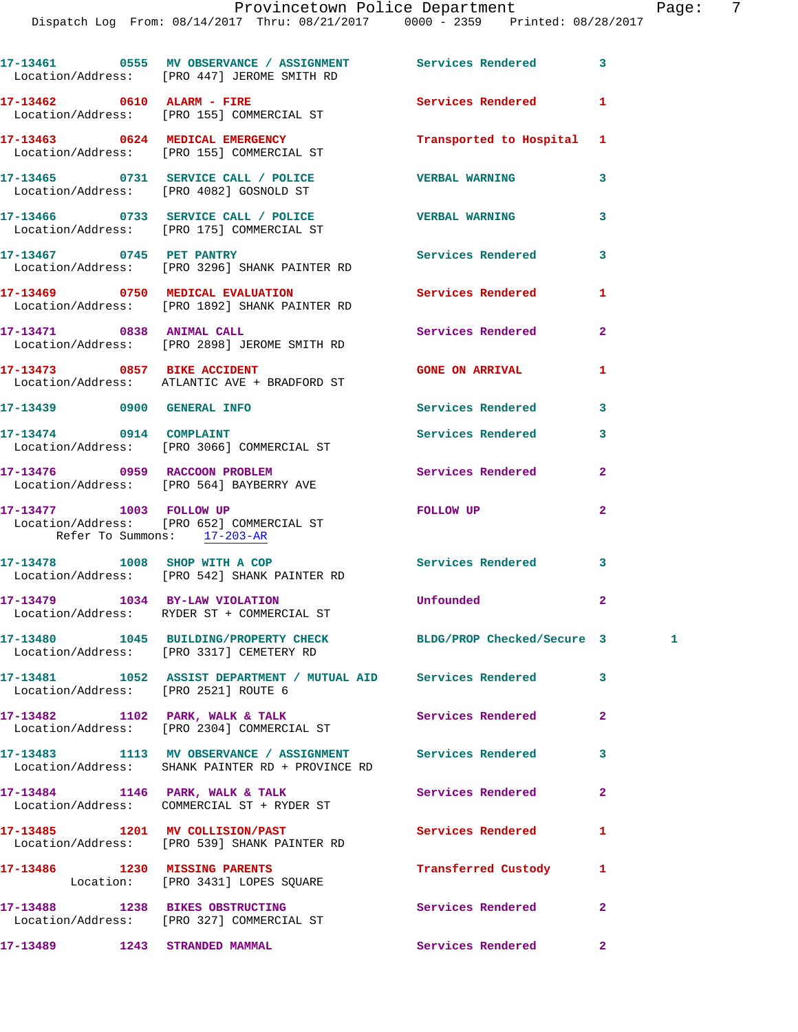|                                                        | 17-13461 0555 MV OBSERVANCE / ASSIGNMENT Services Rendered<br>Location/Address: [PRO 447] JEROME SMITH RD      |                          | 3              |              |
|--------------------------------------------------------|----------------------------------------------------------------------------------------------------------------|--------------------------|----------------|--------------|
|                                                        | 17-13462 0610 ALARM - FIRE<br>Location/Address: [PRO 155] COMMERCIAL ST                                        | Services Rendered        | 1              |              |
|                                                        | 17-13463 0624 MEDICAL EMERGENCY<br>Location/Address: [PRO 155] COMMERCIAL ST                                   | Transported to Hospital  | 1              |              |
|                                                        | 17-13465 0731 SERVICE CALL / POLICE<br>Location/Address: [PRO 4082] GOSNOLD ST                                 | <b>VERBAL WARNING</b>    | 3              |              |
|                                                        | 17-13466 0733 SERVICE CALL / POLICE<br>Location/Address: [PRO 175] COMMERCIAL ST                               | <b>VERBAL WARNING</b>    | 3              |              |
| 17-13467 0745 PET PANTRY                               | Location/Address: [PRO 3296] SHANK PAINTER RD                                                                  | Services Rendered        | 3              |              |
|                                                        | 17-13469 0750 MEDICAL EVALUATION<br>Location/Address: [PRO 1892] SHANK PAINTER RD                              | Services Rendered        | 1              |              |
| 17-13471 0838 ANIMAL CALL                              | Location/Address: [PRO 2898] JEROME SMITH RD                                                                   | Services Rendered        | $\mathbf{2}$   |              |
| 17-13473 0857 BIKE ACCIDENT                            | Location/Address: ATLANTIC AVE + BRADFORD ST                                                                   | <b>GONE ON ARRIVAL</b>   | 1              |              |
| 17-13439 0900 GENERAL INFO                             |                                                                                                                | Services Rendered        | 3              |              |
| 17-13474 0914 COMPLAINT                                | Location/Address: [PRO 3066] COMMERCIAL ST                                                                     | Services Rendered        | 3              |              |
|                                                        | 17-13476 0959 RACCOON PROBLEM<br>Location/Address: [PRO 564] BAYBERRY AVE                                      | Services Rendered        | $\mathbf{2}$   |              |
| 17-13477 1003 FOLLOW UP<br>Refer To Summons: 17-203-AR | Location/Address: [PRO 652] COMMERCIAL ST                                                                      | <b>FOLLOW UP</b>         | $\overline{2}$ |              |
|                                                        | 17-13478 1008 SHOP WITH A COP<br>Location/Address: [PRO 542] SHANK PAINTER RD                                  | <b>Services Rendered</b> | 3              |              |
| 17-13479 1034 BY-LAW VIOLATION                         | Location/Address: RYDER ST + COMMERCIAL ST                                                                     | Unfounded                | $\mathbf{2}$   |              |
|                                                        | 17-13480 1045 BUILDING/PROPERTY CHECK BLDG/PROP Checked/Secure 3<br>Location/Address: [PRO 3317] CEMETERY RD   |                          |                | $\mathbf{1}$ |
| Location/Address: [PRO 2521] ROUTE 6                   | 17-13481 1052 ASSIST DEPARTMENT / MUTUAL AID Services Rendered                                                 |                          | 3              |              |
|                                                        | 17-13482 1102 PARK, WALK & TALK<br>Location/Address: [PRO 2304] COMMERCIAL ST                                  | <b>Services Rendered</b> | $\overline{a}$ |              |
|                                                        | 17-13483 1113 MV OBSERVANCE / ASSIGNMENT Services Rendered<br>Location/Address: SHANK PAINTER RD + PROVINCE RD |                          | 3              |              |
|                                                        | $17-13484$ 1146 PARK, WALK & TALK                                                                              | Services Rendered        | $\mathbf{2}$   |              |
|                                                        | 17-13485 1201 MV COLLISION/PAST<br>Location/Address: [PRO 539] SHANK PAINTER RD                                | Services Rendered        | 1              |              |
|                                                        | 17-13486 1230 MISSING PARENTS<br>Location: [PRO 3431] LOPES SQUARE                                             | Transferred Custody      | 1              |              |
|                                                        | 17-13488 1238 BIKES OBSTRUCTING<br>Location/Address: [PRO 327] COMMERCIAL ST                                   | Services Rendered        | $\overline{a}$ |              |
| 17-13489 1243 STRANDED MAMMAL                          |                                                                                                                | Services Rendered        | $\mathbf{2}^-$ |              |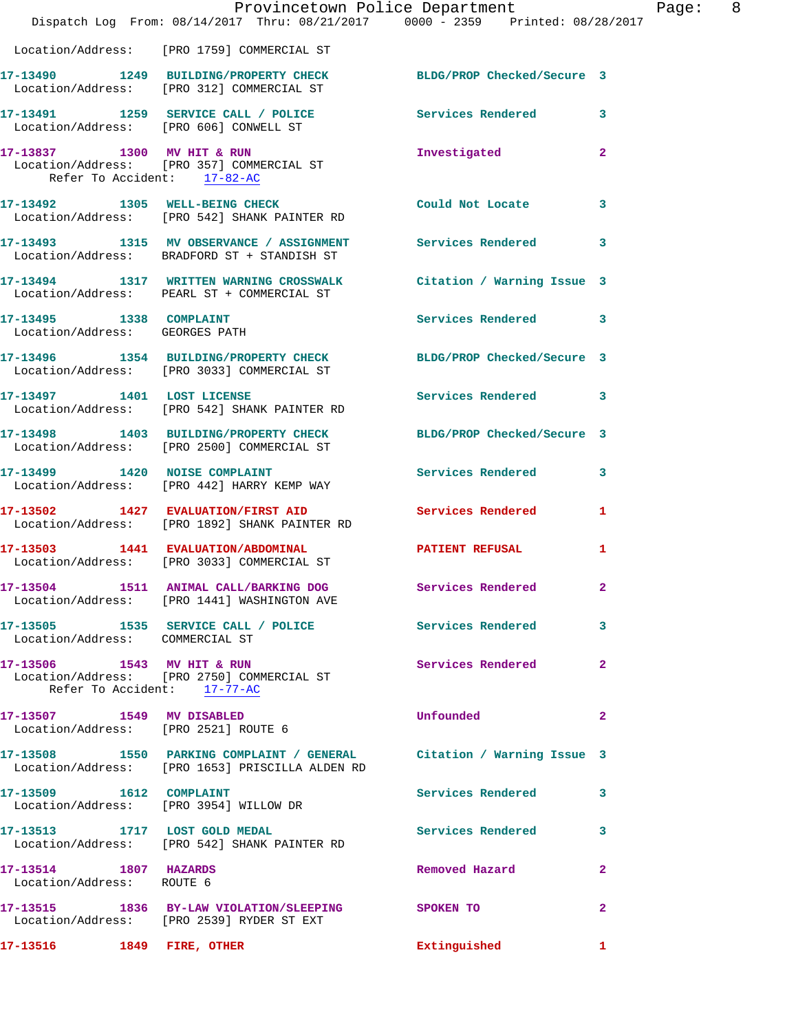|                                                                   | Provincetown Police Department<br>Dispatch Log From: 08/14/2017 Thru: 08/21/2017 0000 - 2359 Printed: 08/28/2017        |                            |                |
|-------------------------------------------------------------------|-------------------------------------------------------------------------------------------------------------------------|----------------------------|----------------|
|                                                                   | Location/Address: [PRO 1759] COMMERCIAL ST                                                                              |                            |                |
|                                                                   | 17-13490 1249 BUILDING/PROPERTY CHECK BLDG/PROP Checked/Secure 3<br>Location/Address: [PRO 312] COMMERCIAL ST           |                            |                |
|                                                                   | 17-13491 1259 SERVICE CALL / POLICE 3ervices Rendered<br>Location/Address: [PRO 606] CONWELL ST                         |                            | 3              |
| Refer To Accident: 17-82-AC                                       | 17-13837 1300 MV HIT & RUN<br>Location/Address: [PRO 357] COMMERCIAL ST                                                 | Investigated               | 2              |
|                                                                   | 17-13492 1305 WELL-BEING CHECK<br>Location/Address: [PRO 542] SHANK PAINTER RD                                          | Could Not Locate           | 3              |
|                                                                   | 17-13493 1315 MV OBSERVANCE / ASSIGNMENT<br>Location/Address: BRADFORD ST + STANDISH ST                                 | Services Rendered          | 3              |
|                                                                   | 17-13494 1317 WRITTEN WARNING CROSSWALK<br>Location/Address: PEARL ST + COMMERCIAL ST                                   | Citation / Warning Issue 3 |                |
| 17-13495   1338   COMPLAINT<br>Location/Address: GEORGES PATH     |                                                                                                                         | <b>Services Rendered</b>   | 3              |
|                                                                   | 17-13496 1354 BUILDING/PROPERTY CHECK<br>Location/Address: [PRO 3033] COMMERCIAL ST                                     | BLDG/PROP Checked/Secure 3 |                |
| 17-13497 1401 LOST LICENSE                                        | Location/Address: [PRO 542] SHANK PAINTER RD                                                                            | <b>Services Rendered</b>   | 3              |
|                                                                   | 17-13498 1403 BUILDING/PROPERTY CHECK<br>Location/Address: [PRO 2500] COMMERCIAL ST                                     | BLDG/PROP Checked/Secure 3 |                |
|                                                                   | 17-13499 1420 NOISE COMPLAINT<br>Location/Address: [PRO 442] HARRY KEMP WAY                                             | Services Rendered          | 3              |
|                                                                   | 17-13502 1427 EVALUATION/FIRST AID<br>Location/Address: [PRO 1892] SHANK PAINTER RD                                     | <b>Services Rendered</b>   | 1              |
|                                                                   | 17-13503 1441 EVALUATION/ABDOMINAL<br>Location/Address: [PRO 3033] COMMERCIAL ST                                        | <b>PATIENT REFUSAL</b>     | 1              |
|                                                                   | 17-13504 1511 ANIMAL CALL/BARKING DOG<br>Location/Address: [PRO 1441] WASHINGTON AVE                                    | Services Rendered          | $\mathbf{2}$   |
| Location/Address: COMMERCIAL ST                                   | 17-13505 1535 SERVICE CALL / POLICE                                                                                     | <b>Services Rendered</b>   | 3              |
| Refer To Accident: 17-77-AC                                       | 17-13506 1543 MV HIT & RUN<br>Location/Address: [PRO 2750] COMMERCIAL ST                                                | <b>Services Rendered</b>   | 2              |
| 17-13507 1549 MV DISABLED<br>Location/Address: [PRO 2521] ROUTE 6 |                                                                                                                         | Unfounded                  | $\mathbf{2}$   |
|                                                                   | 17-13508 1550 PARKING COMPLAINT / GENERAL Citation / Warning Issue 3<br>Location/Address: [PRO 1653] PRISCILLA ALDEN RD |                            |                |
| 17-13509 1612 COMPLAINT                                           | Location/Address: [PRO 3954] WILLOW DR                                                                                  | <b>Services Rendered</b>   | 3              |
|                                                                   | 17-13513 1717 LOST GOLD MEDAL<br>Location/Address: [PRO 542] SHANK PAINTER RD                                           | <b>Services Rendered</b>   | 3              |
| 17-13514 1807 HAZARDS<br>Location/Address: ROUTE 6                |                                                                                                                         | Removed Hazard             | 2              |
|                                                                   | 17-13515 1836 BY-LAW VIOLATION/SLEEPING SPOKEN TO<br>Location/Address: [PRO 2539] RYDER ST EXT                          |                            | $\overline{a}$ |
| 17-13516 1849 FIRE, OTHER                                         |                                                                                                                         | Extinguished               | 1              |

Page: 8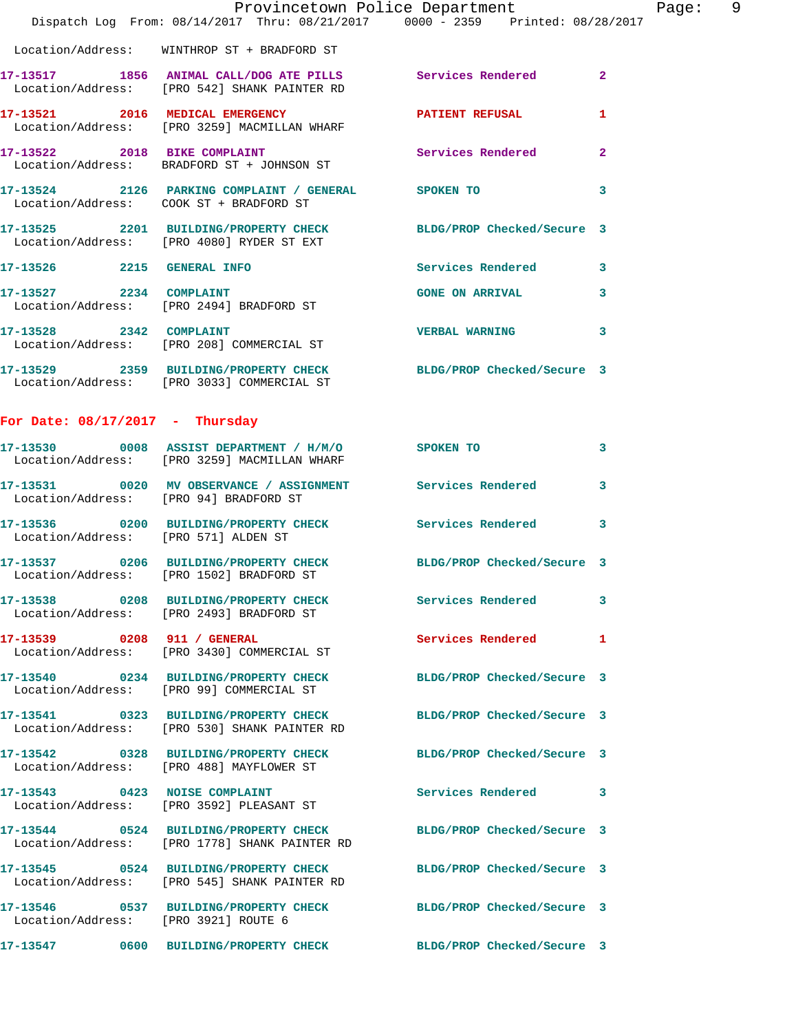|                                      | Dispatch Log From: 08/14/2017 Thru: 08/21/2017 0000 - 2359 Printed: 08/28/2017                                    | Provincetown Police Department | Page: 9      |
|--------------------------------------|-------------------------------------------------------------------------------------------------------------------|--------------------------------|--------------|
|                                      | Location/Address: WINTHROP ST + BRADFORD ST                                                                       |                                |              |
|                                      | 17-13517 1856 ANIMAL CALL/DOG ATE PILLS Services Rendered 2<br>Location/Address: [PRO 542] SHANK PAINTER RD       |                                |              |
|                                      | 17-13521 2016 MEDICAL EMERGENCY PATIENT REFUSAL<br>Location/Address: [PRO 3259] MACMILLAN WHARF                   |                                | $\mathbf{1}$ |
|                                      | 17-13522 2018 BIKE COMPLAINT Services Rendered 2<br>Location/Address: BRADFORD ST + JOHNSON ST                    |                                |              |
|                                      | 17-13524 2126 PARKING COMPLAINT / GENERAL SPOKEN TO<br>Location/Address: COOK ST + BRADFORD ST                    |                                | $\mathbf{3}$ |
|                                      | 17-13525 2201 BUILDING/PROPERTY CHECK BLDG/PROP Checked/Secure 3<br>Location/Address: [PRO 4080] RYDER ST EXT     |                                |              |
|                                      | 17-13526 2215 GENERAL INFO                                                                                        | Services Rendered 3            |              |
| 17-13527 2234 COMPLAINT              | Location/Address: [PRO 2494] BRADFORD ST                                                                          | GONE ON ARRIVAL 3              |              |
|                                      | 17-13528 2342 COMPLAINT<br>Location/Address: [PRO 208] COMMERCIAL ST                                              | <b>VERBAL WARNING</b>          | $\mathbf{3}$ |
|                                      | 17-13529 2359 BUILDING/PROPERTY CHECK BLDG/PROP Checked/Secure 3<br>Location/Address: [PRO 3033] COMMERCIAL ST    |                                |              |
| For Date: $08/17/2017$ - Thursday    |                                                                                                                   |                                |              |
|                                      | 17-13530 0008 ASSIST DEPARTMENT / H/M/O SPOKEN TO<br>Location/Address: [PRO 3259] MACMILLAN WHARF                 |                                | $\mathbf{3}$ |
|                                      | 17-13531 0020 MV OBSERVANCE / ASSIGNMENT Services Rendered 3<br>Location/Address: [PRO 94] BRADFORD ST            |                                |              |
| Location/Address: [PRO 571] ALDEN ST | 17-13536 0200 BUILDING/PROPERTY CHECK Services Rendered 3                                                         |                                |              |
|                                      | 17-13537 0206 BUILDING/PROPERTY CHECK BLDG/PROP Checked/Secure 3<br>Location/Address: [PRO 1502] BRADFORD ST      |                                |              |
|                                      | 17-13538 0208 BUILDING/PROPERTY CHECK Services Rendered 3<br>Location/Address: [PRO 2493] BRADFORD ST             |                                |              |
|                                      | 17-13539 0208 911 / GENERAL<br>Location/Address: [PRO 3430] COMMERCIAL ST                                         | Services Rendered 1            |              |
|                                      | 17-13540 0234 BUILDING/PROPERTY CHECK BLDG/PROP Checked/Secure 3<br>Location/Address: [PRO 99] COMMERCIAL ST      |                                |              |
|                                      | 17-13541 0323 BUILDING/PROPERTY CHECK BLDG/PROP Checked/Secure 3<br>Location/Address: [PRO 530] SHANK PAINTER RD  |                                |              |
|                                      | 17-13542 0328 BUILDING/PROPERTY CHECK BLDG/PROP Checked/Secure 3<br>Location/Address: [PRO 488] MAYFLOWER ST      |                                |              |
|                                      | 17-13543 0423 NOISE COMPLAINT<br>Location/Address: [PRO 3592] PLEASANT ST                                         | Services Rendered 3            |              |
|                                      | 17-13544 0524 BUILDING/PROPERTY CHECK BLDG/PROP Checked/Secure 3<br>Location/Address: [PRO 1778] SHANK PAINTER RD |                                |              |
|                                      | 17-13545 0524 BUILDING/PROPERTY CHECK<br>Location/Address: [PRO 545] SHANK PAINTER RD                             | BLDG/PROP Checked/Secure 3     |              |
| Location/Address: [PRO 3921] ROUTE 6 | 17-13546 0537 BUILDING/PROPERTY CHECK BLDG/PROP Checked/Secure 3                                                  |                                |              |
|                                      | 17-13547 0600 BUILDING/PROPERTY CHECK BLDG/PROP Checked/Secure 3                                                  |                                |              |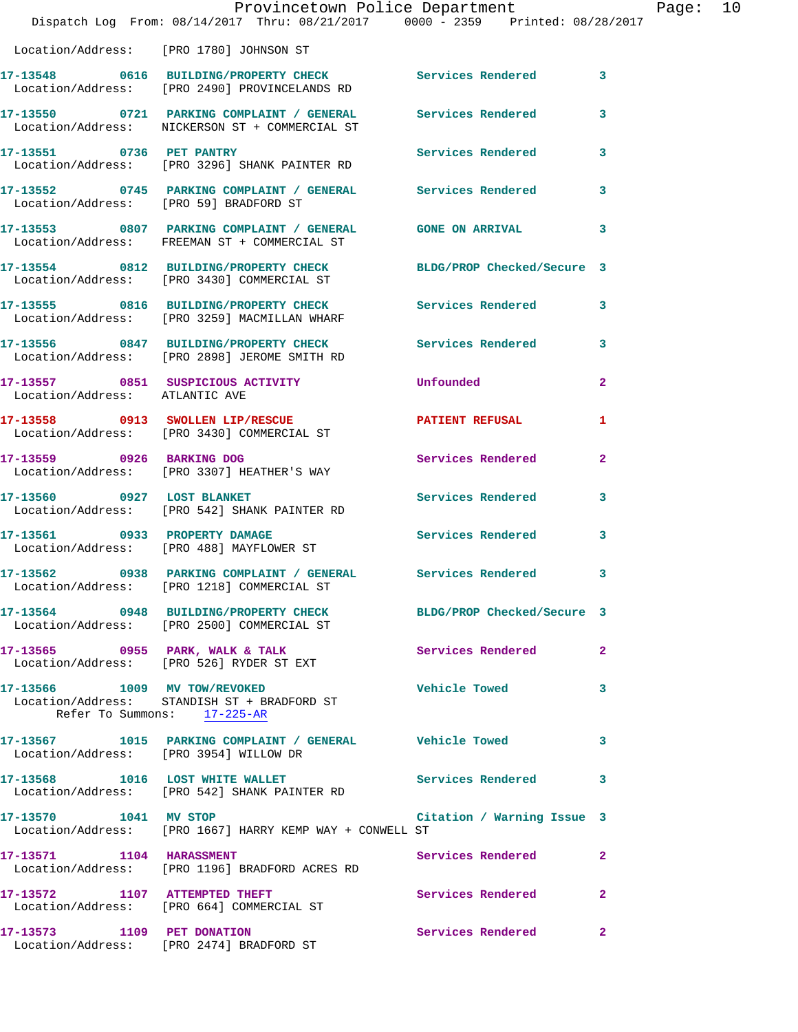|                                | Provincetown Police Department<br>Dispatch Log From: 08/14/2017 Thru: 08/21/2017 0000 - 2359 Printed: 08/28/2017 |                     |              | Page: 10 |  |
|--------------------------------|------------------------------------------------------------------------------------------------------------------|---------------------|--------------|----------|--|
|                                | Location/Address: [PRO 1780] JOHNSON ST                                                                          |                     |              |          |  |
|                                | 17-13548 0616 BUILDING/PROPERTY CHECK Services Rendered 3<br>Location/Address: [PRO 2490] PROVINCELANDS RD       |                     |              |          |  |
|                                | 17-13550 0721 PARKING COMPLAINT / GENERAL Services Rendered 3<br>Location/Address: NICKERSON ST + COMMERCIAL ST  |                     |              |          |  |
|                                | 17-13551 0736 PET PANTRY<br>Location/Address: [PRO 3296] SHANK PAINTER RD                                        | Services Rendered 3 |              |          |  |
|                                | 17-13552 0745 PARKING COMPLAINT / GENERAL Services Rendered 3<br>Location/Address: [PRO 59] BRADFORD ST          |                     |              |          |  |
|                                | 17-13553 0807 PARKING COMPLAINT / GENERAL GONE ON ARRIVAL 3<br>Location/Address: FREEMAN ST + COMMERCIAL ST      |                     |              |          |  |
|                                | 17-13554 0812 BUILDING/PROPERTY CHECK BLDG/PROP Checked/Secure 3<br>Location/Address: [PRO 3430] COMMERCIAL ST   |                     |              |          |  |
|                                | 17-13555 0816 BUILDING/PROPERTY CHECK Services Rendered 3<br>Location/Address: [PRO 3259] MACMILLAN WHARF        |                     |              |          |  |
|                                | 17-13556 0847 BUILDING/PROPERTY CHECK Services Rendered 3<br>Location/Address: [PRO 2898] JEROME SMITH RD        |                     |              |          |  |
| Location/Address: ATLANTIC AVE | 17-13557 0851 SUSPICIOUS ACTIVITY Unfounded                                                                      |                     | $\mathbf{2}$ |          |  |
|                                | 17-13558 0913 SWOLLEN LIP/RESCUE <b>PATIENT REFUSAL</b><br>Location/Address: [PRO 3430] COMMERCIAL ST            |                     | 1            |          |  |
| 17-13559 0926 BARKING DOG      | Location/Address: [PRO 3307] HEATHER'S WAY                                                                       | Services Rendered   | $\mathbf{2}$ |          |  |
|                                | 17-13560 0927 LOST BLANKET<br>Location/Address: [PRO 542] SHANK PAINTER RD                                       | Services Rendered 3 |              |          |  |
|                                | 17-13561 0933 PROPERTY DAMAGE<br>Location/Address: [PRO 488] MAYFLOWER ST                                        | Services Rendered 3 |              |          |  |
|                                | 17-13562 0938 PARKING COMPLAINT / GENERAL Services Rendered<br>Location/Address: [PRO 1218] COMMERCIAL ST        |                     | 3            |          |  |
|                                | 17-13564 0948 BUILDING/PROPERTY CHECK BLDG/PROP Checked/Secure 3<br>Location/Address: [PRO 2500] COMMERCIAL ST   |                     |              |          |  |
|                                | 17-13565 0955 PARK, WALK & TALK 6 Services Rendered 2<br>Location/Address: [PRO 526] RYDER ST EXT                |                     |              |          |  |
|                                | 17-13566 1009 MV TOW/REVOKED<br>Location/Address: STANDISH ST + BRADFORD ST<br>Refer To Summons: 17-225-AR       | Vehicle Towed 3     |              |          |  |
|                                | 17-13567 1015 PARKING COMPLAINT / GENERAL Vehicle Towed<br>Location/Address: [PRO 3954] WILLOW DR                |                     | 3            |          |  |
|                                | 17-13568 1016 LOST WHITE WALLET Services Rendered 3<br>Location/Address: [PRO 542] SHANK PAINTER RD              |                     |              |          |  |
|                                | 17-13570 1041 MV STOP Citation / Warning Issue 3<br>Location/Address: [PRO 1667] HARRY KEMP WAY + CONWELL ST     |                     |              |          |  |
| 17-13571 1104 HARASSMENT       | Location/Address: [PRO 1196] BRADFORD ACRES RD                                                                   | Services Rendered   | $\mathbf{2}$ |          |  |
|                                | 17-13572 1107 ATTEMPTED THEFT<br>Location/Address: [PRO 664] COMMERCIAL ST                                       | Services Rendered   | $\mathbf{2}$ |          |  |
| 17-13573 1109 PET DONATION     | Location/Address: [PRO 2474] BRADFORD ST                                                                         | Services Rendered   | $\mathbf{2}$ |          |  |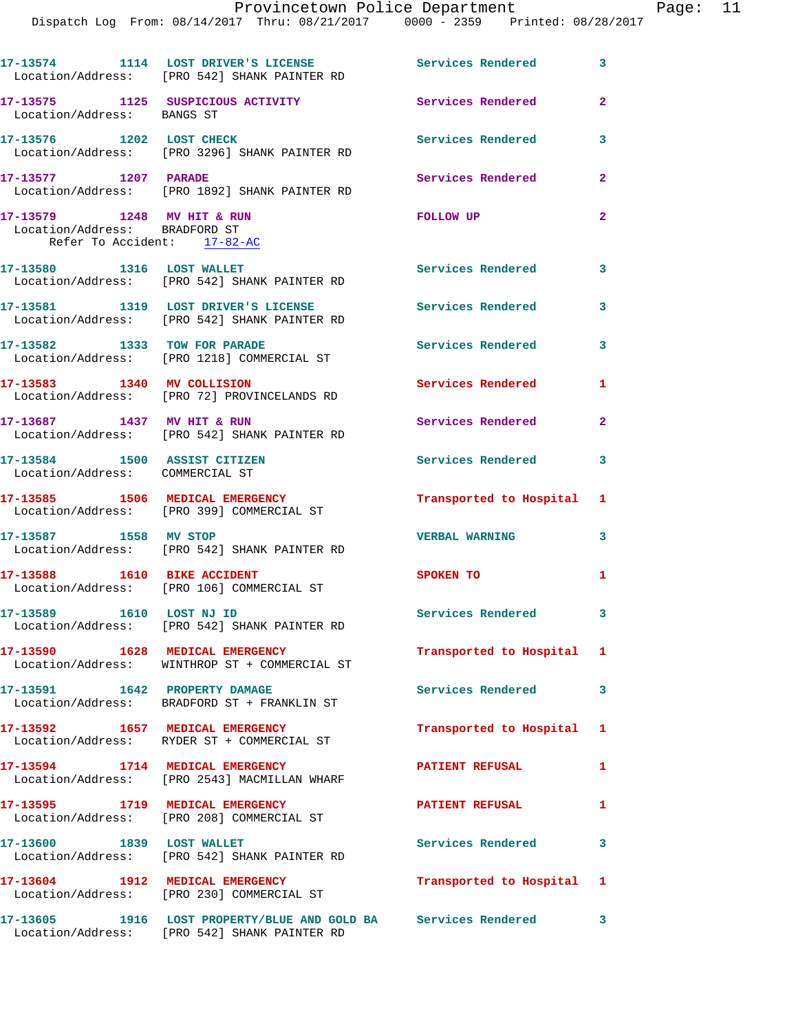|                                                                                            | 17-13574 1114 LOST DRIVER'S LICENSE Services Rendered 3<br>Location/Address: [PRO 542] SHANK PAINTER RD          |                           |                |
|--------------------------------------------------------------------------------------------|------------------------------------------------------------------------------------------------------------------|---------------------------|----------------|
| Location/Address: BANGS ST                                                                 | 17-13575 1125 SUSPICIOUS ACTIVITY                                                                                | Services Rendered         | $\mathbf{2}$   |
| 17-13576 1202 LOST CHECK                                                                   | Location/Address: [PRO 3296] SHANK PAINTER RD                                                                    | Services Rendered         | 3              |
| 17-13577 1207 PARADE                                                                       | Location/Address: [PRO 1892] SHANK PAINTER RD                                                                    | Services Rendered         | $\mathbf{2}$   |
| 17-13579 1248 MV HIT & RUN<br>Location/Address: BRADFORD ST<br>Refer To Accident: 17-82-AC |                                                                                                                  | FOLLOW UP                 | $\overline{2}$ |
| 17-13580 1316 LOST WALLET                                                                  | Location/Address: [PRO 542] SHANK PAINTER RD                                                                     | <b>Services Rendered</b>  | 3              |
|                                                                                            | 17-13581 1319 LOST DRIVER'S LICENSE<br>Location/Address: [PRO 542] SHANK PAINTER RD                              | <b>Services Rendered</b>  | 3              |
| 17-13582 1333 TOW FOR PARADE                                                               | Location/Address: [PRO 1218] COMMERCIAL ST                                                                       | Services Rendered         | 3              |
|                                                                                            | 17-13583 1340 MV COLLISION<br>Location/Address: [PRO 72] PROVINCELANDS RD                                        | Services Rendered         | 1              |
| 17-13687 1437 MV HIT & RUN                                                                 | Location/Address: [PRO 542] SHANK PAINTER RD                                                                     | Services Rendered         | $\mathbf{2}$   |
| 17-13584 1500 ASSIST CITIZEN<br>Location/Address: COMMERCIAL ST                            |                                                                                                                  | <b>Services Rendered</b>  | 3              |
|                                                                                            | 17-13585 1506 MEDICAL EMERGENCY<br>Location/Address: [PRO 399] COMMERCIAL ST                                     | Transported to Hospital 1 |                |
| 17-13587 1558 MV STOP                                                                      | Location/Address: [PRO 542] SHANK PAINTER RD                                                                     | <b>VERBAL WARNING</b>     | 3              |
| 17-13588 1610 BIKE ACCIDENT                                                                | Location/Address: [PRO 106] COMMERCIAL ST                                                                        | SPOKEN TO                 | 1              |
| 17-13589 1610 LOST NJ ID                                                                   | Location/Address: [PRO 542] SHANK PAINTER RD                                                                     | Services Rendered 3       |                |
|                                                                                            | 17-13590 1628 MEDICAL EMERGENCY<br>Location/Address: WINTHROP ST + COMMERCIAL ST                                 | Transported to Hospital 1 |                |
|                                                                                            | 17-13591 1642 PROPERTY DAMAGE<br>Location/Address: BRADFORD ST + FRANKLIN ST                                     | <b>Services Rendered</b>  | $\mathbf{3}$   |
|                                                                                            | 17-13592 1657 MEDICAL EMERGENCY<br>Location/Address: RYDER ST + COMMERCIAL ST                                    | Transported to Hospital 1 |                |
|                                                                                            | 17-13594 1714 MEDICAL EMERGENCY<br>Location/Address: [PRO 2543] MACMILLAN WHARF                                  | <b>PATIENT REFUSAL</b>    | $\mathbf{1}$   |
|                                                                                            | 17-13595 1719 MEDICAL EMERGENCY<br>Location/Address: [PRO 208] COMMERCIAL ST                                     | PATIENT REFUSAL 1         |                |
|                                                                                            | 17-13600 1839 LOST WALLET<br>Location/Address: [PRO 542] SHANK PAINTER RD                                        | <b>Services Rendered</b>  | 3              |
| 17-13604 1912 MEDICAL EMERGENCY                                                            | Location/Address: [PRO 230] COMMERCIAL ST                                                                        | Transported to Hospital 1 |                |
|                                                                                            | 17-13605 1916 LOST PROPERTY/BLUE AND GOLD BA Services Rendered 3<br>Location/Address: [PRO 542] SHANK PAINTER RD |                           |                |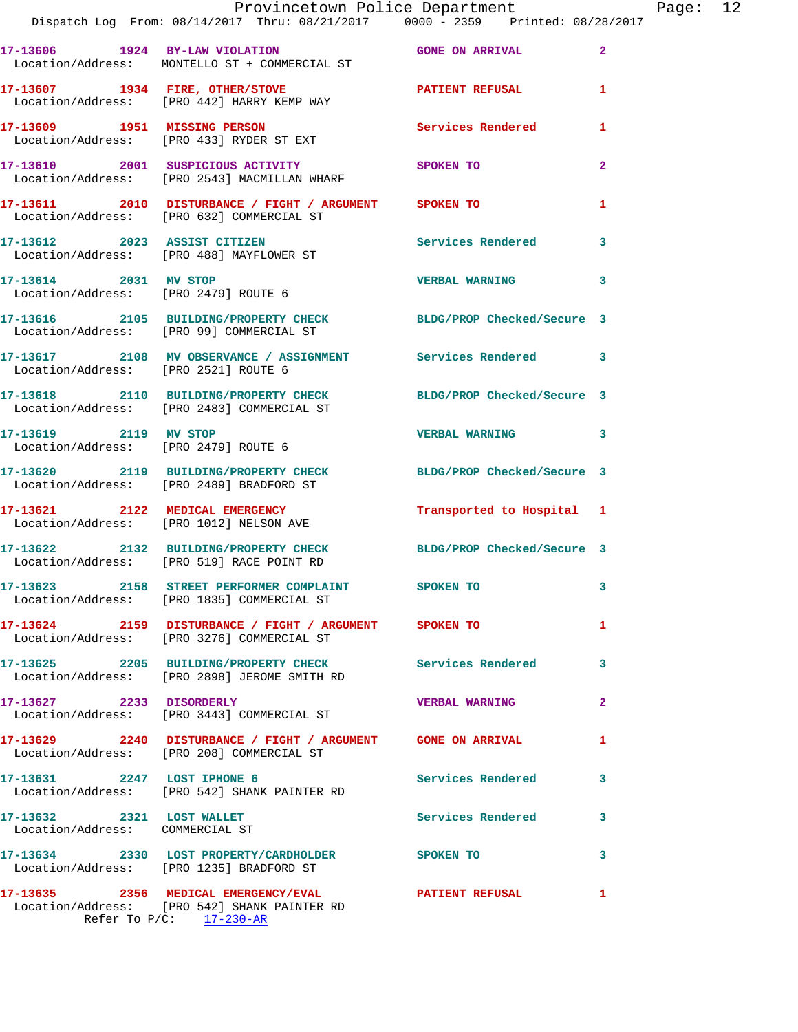|                                                              | Provincetown Police Department<br>Dispatch Log From: 08/14/2017 Thru: 08/21/2017 0000 - 2359 Printed: 08/28/2017 |                            |                |
|--------------------------------------------------------------|------------------------------------------------------------------------------------------------------------------|----------------------------|----------------|
|                                                              | 17-13606 1924 BY-LAW VIOLATION GONE ON ARRIVAL<br>Location/Address: MONTELLO ST + COMMERCIAL ST                  |                            | $\overline{2}$ |
|                                                              | 17-13607 1934 FIRE, OTHER/STOVE <b>PATIENT REFUSAL</b><br>Location/Address: [PRO 442] HARRY KEMP WAY             |                            | 1              |
|                                                              | 17-13609 1951 MISSING PERSON<br>Location/Address: [PRO 433] RYDER ST EXT                                         | <b>Services Rendered</b>   | 1              |
|                                                              | 17-13610 2001 SUSPICIOUS ACTIVITY<br>Location/Address: [PRO 2543] MACMILLAN WHARF                                | SPOKEN TO                  | $\mathbf{2}$   |
|                                                              | 17-13611 2010 DISTURBANCE / FIGHT / ARGUMENT SPOKEN TO<br>Location/Address: [PRO 632] COMMERCIAL ST              |                            | 1              |
|                                                              | 17-13612 2023 ASSIST CITIZEN<br>Location/Address: [PRO 488] MAYFLOWER ST                                         | Services Rendered          | 3              |
| 17-13614 2031 MV STOP                                        | Location/Address: [PRO 2479] ROUTE 6                                                                             | <b>VERBAL WARNING</b>      | 3              |
|                                                              | 17-13616 2105 BUILDING/PROPERTY CHECK BLDG/PROP Checked/Secure 3<br>Location/Address: [PRO 99] COMMERCIAL ST     |                            |                |
| Location/Address: [PRO 2521] ROUTE 6                         | 17-13617 2108 MV OBSERVANCE / ASSIGNMENT Services Rendered                                                       |                            | 3              |
|                                                              | 17-13618 2110 BUILDING/PROPERTY CHECK<br>Location/Address: [PRO 2483] COMMERCIAL ST                              | BLDG/PROP Checked/Secure 3 |                |
| 17-13619 2119 MV STOP                                        | Location/Address: [PRO 2479] ROUTE 6                                                                             | <b>VERBAL WARNING</b>      | 3              |
|                                                              | 17-13620 2119 BUILDING/PROPERTY CHECK<br>Location/Address: [PRO 2489] BRADFORD ST                                | BLDG/PROP Checked/Secure 3 |                |
|                                                              | 17-13621 2122 MEDICAL EMERGENCY<br>Location/Address: [PRO 1012] NELSON AVE                                       | Transported to Hospital    | 1              |
|                                                              | 17-13622 2132 BUILDING/PROPERTY CHECK<br>Location/Address: [PRO 519] RACE POINT RD                               | BLDG/PROP Checked/Secure 3 |                |
|                                                              | 17-13623 2158 STREET PERFORMER COMPLAINT<br>Location/Address: [PRO 1835] COMMERCIAL ST                           | SPOKEN TO                  | $\mathbf{3}$   |
|                                                              | 17-13624 2159 DISTURBANCE / FIGHT / ARGUMENT SPOKEN TO<br>Location/Address: [PRO 3276] COMMERCIAL ST             |                            | 1.             |
|                                                              | 17-13625 2205 BUILDING/PROPERTY CHECK<br>Location/Address: [PRO 2898] JEROME SMITH RD                            | <b>Services Rendered</b>   | 3              |
| 17-13627 2233 DISORDERLY                                     | Location/Address: [PRO 3443] COMMERCIAL ST                                                                       | <b>VERBAL WARNING</b>      | $\overline{2}$ |
|                                                              | 17-13629 2240 DISTURBANCE / FIGHT / ARGUMENT GONE ON ARRIVAL<br>Location/Address: [PRO 208] COMMERCIAL ST        |                            | 1              |
|                                                              | 17-13631 2247 LOST IPHONE 6<br>Location/Address: [PRO 542] SHANK PAINTER RD                                      | <b>Services Rendered</b>   | 3              |
| 17-13632 2321 LOST WALLET<br>Location/Address: COMMERCIAL ST |                                                                                                                  | <b>Services Rendered</b>   | 3              |
|                                                              | 17-13634 2330 LOST PROPERTY/CARDHOLDER SPOKEN TO<br>Location/Address: [PRO 1235] BRADFORD ST                     |                            | 3              |
|                                                              | 17-13635 2356 MEDICAL EMERGENCY/EVAL 2356 PATIENT REFUSAL<br>Location/Address: [PRO 542] SHANK PAINTER RD        |                            | 1              |

Refer To P/C: 17-230-AR

Page: 12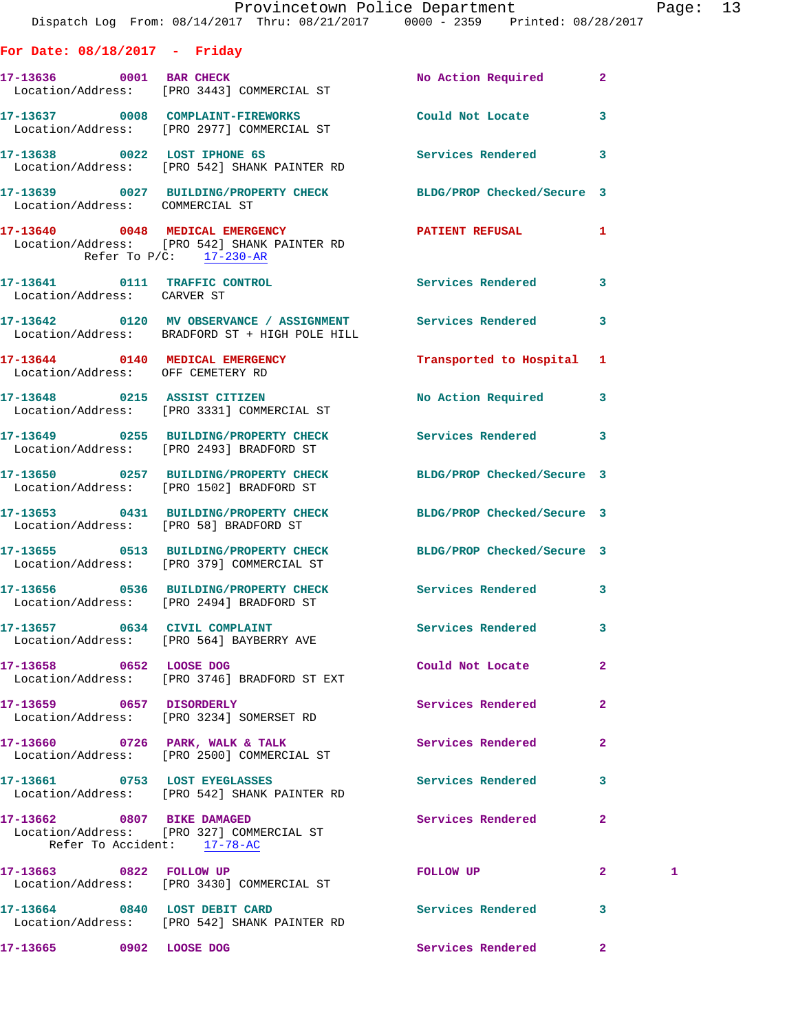|                                   | Provincetown Police Department<br>Dispatch Log From: 08/14/2017 Thru: 08/21/2017 0000 - 2359 Printed: 08/28/2017 |                             |              | Page: 13 |  |
|-----------------------------------|------------------------------------------------------------------------------------------------------------------|-----------------------------|--------------|----------|--|
| For Date: $08/18/2017$ - Friday   |                                                                                                                  |                             |              |          |  |
|                                   | 17-13636 0001 BAR CHECK<br>Location/Address: [PRO 3443] COMMERCIAL ST                                            | No Action Required 2        |              |          |  |
|                                   | 17-13637 0008 COMPLAINT-FIREWORKS Could Not Locate 3<br>Location/Address: [PRO 2977] COMMERCIAL ST               |                             |              |          |  |
|                                   | 17-13638 0022 LOST IPHONE 6S<br>Location/Address: [PRO 542] SHANK PAINTER RD                                     | Services Rendered 3         |              |          |  |
| Location/Address: COMMERCIAL ST   | 17-13639 0027 BUILDING/PROPERTY CHECK BLDG/PROP Checked/Secure 3                                                 |                             |              |          |  |
| Refer To $P/C$ : 17-230-AR        |                                                                                                                  | PATIENT REFUSAL 1           |              |          |  |
| Location/Address: CARVER ST       | 17-13641 0111 TRAFFIC CONTROL Services Rendered                                                                  |                             | $\mathbf{3}$ |          |  |
|                                   | 17-13642 0120 MV OBSERVANCE / ASSIGNMENT Services Rendered 3<br>Location/Address: BRADFORD ST + HIGH POLE HILL   |                             |              |          |  |
| Location/Address: OFF CEMETERY RD | 17-13644 0140 MEDICAL EMERGENCY                                                                                  | Transported to Hospital 1   |              |          |  |
|                                   | 17-13648 0215 ASSIST CITIZEN<br>Location/Address: [PRO 3331] COMMERCIAL ST                                       | No Action Required 3        |              |          |  |
|                                   | 17-13649 0255 BUILDING/PROPERTY CHECK Services Rendered 3<br>Location/Address: [PRO 2493] BRADFORD ST            |                             |              |          |  |
|                                   | 17-13650 0257 BUILDING/PROPERTY CHECK BLDG/PROP Checked/Secure 3<br>Location/Address: [PRO 1502] BRADFORD ST     |                             |              |          |  |
|                                   | 17-13653 0431 BUILDING/PROPERTY CHECK BLDG/PROP Checked/Secure 3<br>Location/Address: [PRO 58] BRADFORD ST       |                             |              |          |  |
|                                   | 17-13655 0513 BUILDING/PROPERTY CHECK BLDG/PROP Checked/Secure 3<br>Location/Address: [PRO 379] COMMERCIAL ST    |                             |              |          |  |
|                                   | 17-13656  0536  BUILDING/PROPERTY CHECK<br>Location/Address: [PRO 2494] BRADFORD ST                              | Services Rendered 3         |              |          |  |
|                                   | 17-13657 0634 CIVIL COMPLAINT<br>Location/Address: [PRO 564] BAYBERRY AVE                                        | Services Rendered 3         |              |          |  |
|                                   | 17-13658 0652 LOOSE DOG<br>Location/Address: [PRO 3746] BRADFORD ST EXT                                          | Could Not Locate            | $\mathbf{2}$ |          |  |
| 17-13659 0657 DISORDERLY          | Location/Address: [PRO 3234] SOMERSET RD                                                                         | <b>Services Rendered 22</b> |              |          |  |
|                                   | 17-13660 0726 PARK, WALK & TALK<br>Location/Address: [PRO 2500] COMMERCIAL ST                                    | Services Rendered           | $\mathbf{2}$ |          |  |
| 17-13661 0753 LOST EYEGLASSES     | Location/Address: [PRO 542] SHANK PAINTER RD                                                                     | Services Rendered 3         |              |          |  |
| Refer To Accident: 17-78-AC       | 17-13662 0807 BIKE DAMAGED<br>Location/Address: [PRO 327] COMMERCIAL ST                                          | Services Rendered           | $\mathbf{2}$ |          |  |
| 17-13663 0822 FOLLOW UP           | Location/Address: [PRO 3430] COMMERCIAL ST                                                                       | FOLLOW UP                   | $\mathbf{2}$ | 1        |  |
|                                   | 17-13664 0840 LOST DEBIT CARD<br>Location/Address: [PRO 542] SHANK PAINTER RD                                    | Services Rendered 3         |              |          |  |
| 17-13665 0902 LOOSE DOG           |                                                                                                                  | Services Rendered           | $\mathbf{2}$ |          |  |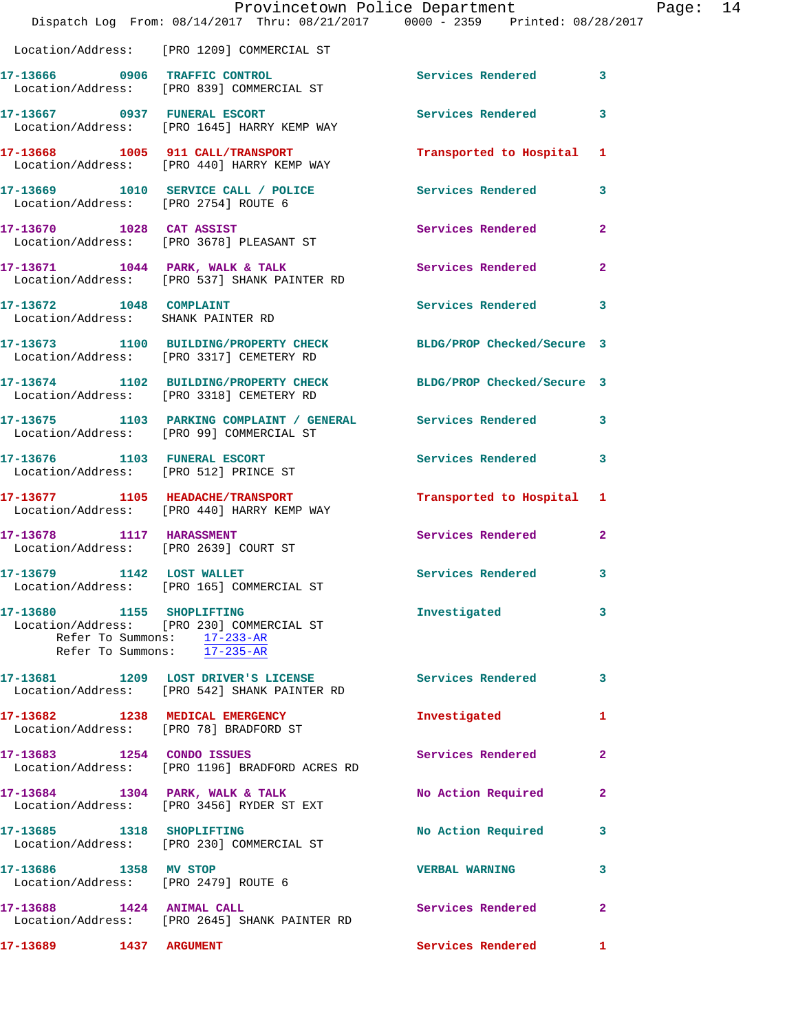|                                                                   | Dispatch Log From: 08/14/2017 Thru: 08/21/2017 0000 - 2359 Printed: 08/28/2017                               | Provincetown Police Department | P.             |
|-------------------------------------------------------------------|--------------------------------------------------------------------------------------------------------------|--------------------------------|----------------|
|                                                                   | Location/Address: [PRO 1209] COMMERCIAL ST                                                                   |                                |                |
|                                                                   |                                                                                                              |                                |                |
|                                                                   | 17-13666 0906 TRAFFIC CONTROL<br>Location/Address: [PRO 839] COMMERCIAL ST                                   | Services Rendered              | 3              |
|                                                                   | 17-13667 0937 FUNERAL ESCORT<br>Location/Address: [PRO 1645] HARRY KEMP WAY                                  | <b>Services Rendered</b>       | 3              |
|                                                                   | 17-13668 1005 911 CALL/TRANSPORT Transported to Hospital<br>Location/Address: [PRO 440] HARRY KEMP WAY       |                                | 1              |
| Location/Address: [PRO 2754] ROUTE 6                              | 17-13669 1010 SERVICE CALL / POLICE                                                                          | Services Rendered              | 3              |
|                                                                   | 17-13670 1028 CAT ASSIST<br>Location/Address: [PRO 3678] PLEASANT ST                                         | Services Rendered              | $\overline{2}$ |
|                                                                   | 17-13671 1044 PARK, WALK & TALK<br>Location/Address: [PRO 537] SHANK PAINTER RD                              | Services Rendered              | $\overline{a}$ |
| 17-13672 1048 COMPLAINT<br>Location/Address: SHANK PAINTER RD     |                                                                                                              | <b>Services Rendered</b>       | 3              |
|                                                                   | 17-13673 1100 BUILDING/PROPERTY CHECK BLDG/PROP Checked/Secure 3<br>Location/Address: [PRO 3317] CEMETERY RD |                                |                |
|                                                                   | 17-13674 1102 BUILDING/PROPERTY CHECK BLDG/PROP Checked/Secure 3<br>Location/Address: [PRO 3318] CEMETERY RD |                                |                |
|                                                                   | 17-13675 1103 PARKING COMPLAINT / GENERAL Services Rendered<br>Location/Address: [PRO 99] COMMERCIAL ST      |                                | 3              |
|                                                                   | 17-13676 1103 FUNERAL ESCORT<br>Location/Address: [PRO 512] PRINCE ST                                        | Services Rendered              | 3              |
|                                                                   | 17-13677 1105 HEADACHE/TRANSPORT<br>Location/Address: [PRO 440] HARRY KEMP WAY                               | Transported to Hospital        | 1              |
| 17-13678 1117 HARASSMENT<br>Location/Address: [PRO 2639] COURT ST |                                                                                                              | Services Rendered              | $\overline{a}$ |
| 17-13679 1142 LOST WALLET                                         | Location/Address: [PRO 165] COMMERCIAL ST                                                                    | <b>Services Rendered</b>       |                |
| 17-13680 1155 SHOPLIFTING                                         | Location/Address: [PRO 230] COMMERCIAL ST<br>Refer To Summons: 17-233-AR<br>Refer To Summons: 17-235-AR      | Investigated                   | 3              |
|                                                                   | 17-13681 1209 LOST DRIVER'S LICENSE 10 Services Rendered<br>Location/Address: [PRO 542] SHANK PAINTER RD     |                                | 3              |
|                                                                   | 17-13682 1238 MEDICAL EMERGENCY<br>Location/Address: [PRO 78] BRADFORD ST                                    | Investigated                   | 1              |
|                                                                   | 17-13683 1254 CONDO ISSUES<br>Location/Address: [PRO 1196] BRADFORD ACRES RD                                 | Services Rendered              | $\mathbf{2}$   |
|                                                                   | 17-13684 1304 PARK, WALK & TALK<br>Location/Address: [PRO 3456] RYDER ST EXT                                 | No Action Required             | $\mathbf{2}$   |
| 17-13685 1318 SHOPLIFTING                                         | Location/Address: [PRO 230] COMMERCIAL ST                                                                    | No Action Required             | 3              |
| 17-13686 1358 MV STOP                                             | Location/Address: [PRO 2479] ROUTE 6                                                                         | <b>VERBAL WARNING</b>          | 3              |
| 17-13688 1424 ANIMAL CALL                                         | Location/Address: [PRO 2645] SHANK PAINTER RD                                                                | <b>Services Rendered</b>       | $\overline{a}$ |
| 17-13689 1437 ARGUMENT                                            |                                                                                                              | <b>Services Rendered</b>       | 1              |

age: 14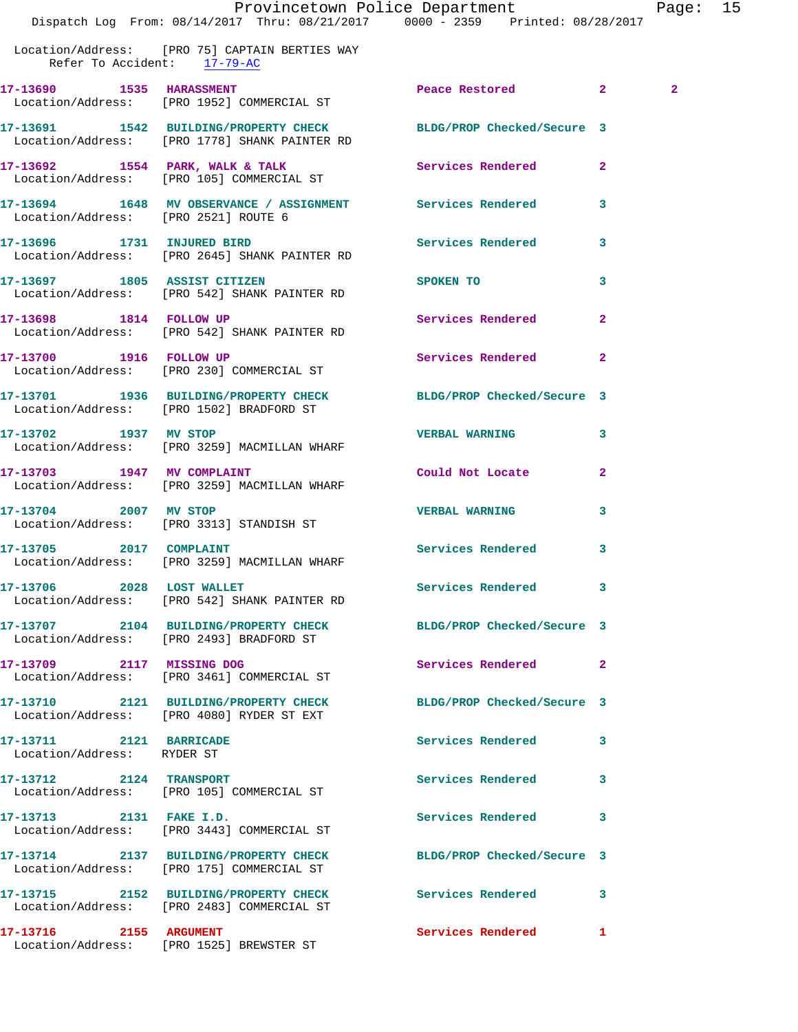|                                      | Dispatch Log From: 08/14/2017 Thru: 08/21/2017 0000 - 2359 Printed: 08/28/2017                                    | Provincetown Police Department |              | Page: 15       |  |
|--------------------------------------|-------------------------------------------------------------------------------------------------------------------|--------------------------------|--------------|----------------|--|
| Refer To Accident: 17-79-AC          | Location/Address: [PRO 75] CAPTAIN BERTIES WAY                                                                    |                                |              |                |  |
|                                      | 17-13690 1535 HARASSMENT<br>Location/Address: [PRO 1952] COMMERCIAL ST                                            | Peace Restored 2               |              | $\overline{a}$ |  |
|                                      | 17-13691 1542 BUILDING/PROPERTY CHECK BLDG/PROP Checked/Secure 3<br>Location/Address: [PRO 1778] SHANK PAINTER RD |                                |              |                |  |
|                                      | 17-13692 1554 PARK, WALK & TALK 1988 Services Rendered<br>Location/Address: [PRO 105] COMMERCIAL ST               |                                | $\mathbf{2}$ |                |  |
| Location/Address: [PRO 2521] ROUTE 6 | 17-13694 1648 MV OBSERVANCE / ASSIGNMENT Services Rendered 3                                                      |                                |              |                |  |
|                                      | 17-13696 1731 INJURED BIRD<br>Location/Address: [PRO 2645] SHANK PAINTER RD                                       | Services Rendered 3            |              |                |  |
| 17-13697 1805 ASSIST CITIZEN         | Location/Address: [PRO 542] SHANK PAINTER RD                                                                      | SPOKEN TO                      | 3            |                |  |
|                                      | 17-13698 1814 FOLLOW UP<br>Location/Address: [PRO 542] SHANK PAINTER RD                                           | Services Rendered              | $\mathbf{2}$ |                |  |
|                                      | 17-13700 1916 FOLLOW UP<br>Location/Address: [PRO 230] COMMERCIAL ST                                              | Services Rendered              | $\mathbf{2}$ |                |  |
|                                      | 17-13701 1936 BUILDING/PROPERTY CHECK BLDG/PROP Checked/Secure 3<br>Location/Address: [PRO 1502] BRADFORD ST      |                                |              |                |  |
|                                      | 17-13702 1937 MV STOP<br>Location/Address: [PRO 3259] MACMILLAN WHARF                                             | <b>VERBAL WARNING</b>          | $\mathbf{3}$ |                |  |
|                                      | 17-13703 1947 MV COMPLAINT<br>Location/Address: [PRO 3259] MACMILLAN WHARF                                        | Could Not Locate 2             |              |                |  |
| 17-13704 2007 MV STOP                | Location/Address: [PRO 3313] STANDISH ST                                                                          | <b>VERBAL WARNING</b>          | 3            |                |  |
| 17-13705<br>2017 COMPLAINT           | Location/Address: [PRO 3259] MACMILLAN WHARF                                                                      | Services Rendered              | 3            |                |  |
| 17-13706 2028 LOST WALLET            | Location/Address: [PRO 542] SHANK PAINTER RD                                                                      | Services Rendered              | 3            |                |  |
|                                      | 17-13707 2104 BUILDING/PROPERTY CHECK<br>Location/Address: [PRO 2493] BRADFORD ST                                 | BLDG/PROP Checked/Secure 3     |              |                |  |
| 17-13709 2117 MISSING DOG            | Location/Address: [PRO 3461] COMMERCIAL ST                                                                        | <b>Services Rendered</b>       | $\mathbf{2}$ |                |  |
|                                      | 17-13710 2121 BUILDING/PROPERTY CHECK<br>Location/Address: [PRO 4080] RYDER ST EXT                                | BLDG/PROP Checked/Secure 3     |              |                |  |
| 17-13711 2121 BARRICADE              |                                                                                                                   | Services Rendered 3            |              |                |  |

 Location/Address: RYDER ST **17-13712 2124 TRANSPORT Services Rendered 3**  Location/Address: [PRO 105] COMMERCIAL ST **17-13713 2131 FAKE I.D. Services Rendered 3**  Location/Address: [PRO 3443] COMMERCIAL ST **17-13714 2137 BUILDING/PROPERTY CHECK BLDG/PROP Checked/Secure 3**  Location/Address: [PRO 175] COMMERCIAL ST **17-13715 2152 BUILDING/PROPERTY CHECK Services Rendered 3**  Location/Address: [PRO 2483] COMMERCIAL ST

**17-13716 2155 ARGUMENT Services Rendered 1**  Location/Address: [PRO 1525] BREWSTER ST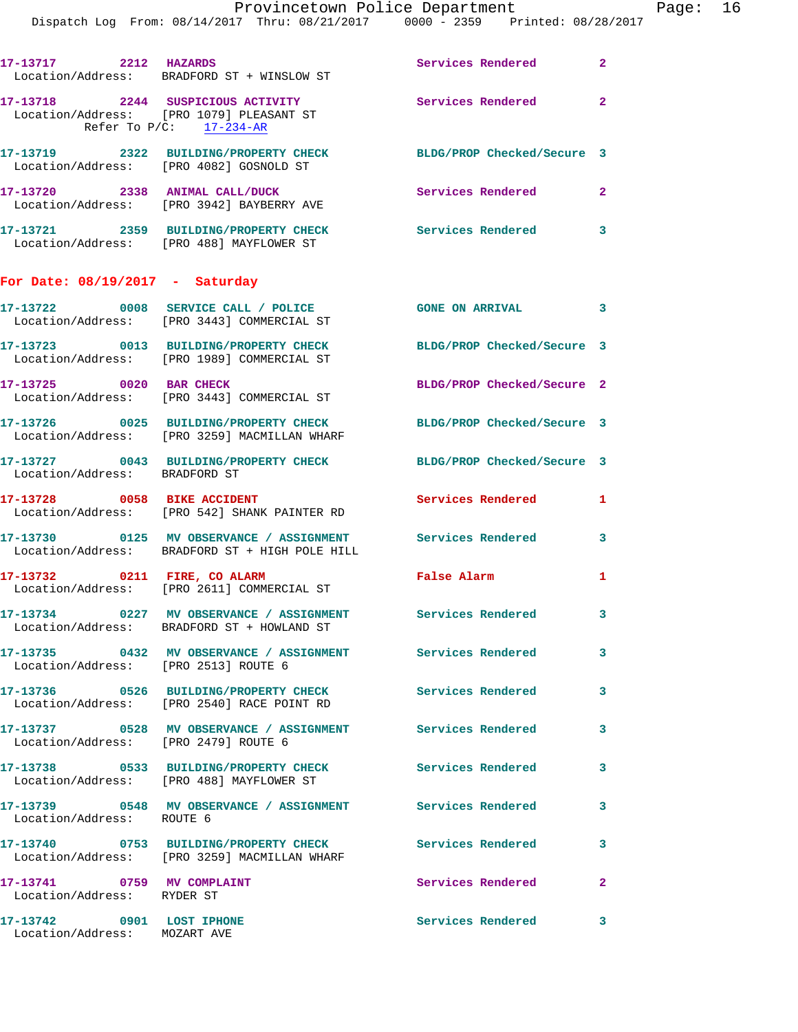Page:  $16$ <br>  $\frac{1}{2017}$ 

|                                      | Provincetown Police Department                                                                      |                            |              |
|--------------------------------------|-----------------------------------------------------------------------------------------------------|----------------------------|--------------|
|                                      | Dispatch Log From: 08/14/2017 Thru: 08/21/2017 0000 - 2359 Printed: 08/28/2017                      |                            |              |
|                                      |                                                                                                     |                            |              |
| 17-13717 2212 HAZARDS                | Location/Address: BRADFORD ST + WINSLOW ST                                                          | Services Rendered          | $\mathbf{2}$ |
|                                      | 17-13718 2244 SUSPICIOUS ACTIVITY                                                                   | Services Rendered          | $\mathbf{2}$ |
|                                      | Location/Address: [PRO 1079] PLEASANT ST                                                            |                            |              |
| Refer To $P/C$ : 17-234-AR           |                                                                                                     |                            |              |
|                                      | 17-13719 2322 BUILDING/PROPERTY CHECK                                                               | BLDG/PROP Checked/Secure 3 |              |
|                                      | Location/Address: [PRO 4082] GOSNOLD ST                                                             |                            |              |
|                                      | 17-13720 2338 ANIMAL CALL/DUCK                                                                      | <b>Services Rendered</b>   | $\mathbf{2}$ |
|                                      | Location/Address: [PRO 3942] BAYBERRY AVE                                                           |                            |              |
|                                      | 17-13721 2359 BUILDING/PROPERTY CHECK Services Rendered                                             |                            | 3            |
|                                      | Location/Address: [PRO 488] MAYFLOWER ST                                                            |                            |              |
| For Date: $08/19/2017$ - Saturday    |                                                                                                     |                            |              |
|                                      |                                                                                                     |                            |              |
|                                      | 17-13722 0008 SERVICE CALL / POLICE<br>Location/Address: [PRO 3443] COMMERCIAL ST                   | <b>GONE ON ARRIVAL</b>     | 3            |
|                                      |                                                                                                     |                            |              |
|                                      | 17-13723 0013 BUILDING/PROPERTY CHECK<br>Location/Address: [PRO 1989] COMMERCIAL ST                 | BLDG/PROP Checked/Secure 3 |              |
|                                      |                                                                                                     |                            |              |
| 17-13725 0020 BAR CHECK              | Location/Address: [PRO 3443] COMMERCIAL ST                                                          | BLDG/PROP Checked/Secure 2 |              |
|                                      |                                                                                                     |                            |              |
|                                      | 17-13726 0025 BUILDING/PROPERTY CHECK<br>Location/Address: [PRO 3259] MACMILLAN WHARF               | BLDG/PROP Checked/Secure 3 |              |
|                                      | 17-13727 0043 BUILDING/PROPERTY CHECK                                                               | BLDG/PROP Checked/Secure 3 |              |
| Location/Address: BRADFORD ST        |                                                                                                     |                            |              |
|                                      | 17-13728 0058 BIKE ACCIDENT                                                                         | Services Rendered          | 1            |
|                                      | Location/Address: [PRO 542] SHANK PAINTER RD                                                        |                            |              |
|                                      |                                                                                                     |                            | 3            |
|                                      | Location/Address: BRADFORD ST + HIGH POLE HILL                                                      |                            |              |
| 17-13732 0211 FIRE, CO ALARM         |                                                                                                     | False Alarm                | 1            |
|                                      | Location/Address: [PRO 2611] COMMERCIAL ST                                                          |                            |              |
|                                      | 17-13734 0227 MV OBSERVANCE / ASSIGNMENT Services Rendered                                          |                            | 3            |
|                                      | Location/Address: BRADFORD ST + HOWLAND ST                                                          |                            |              |
|                                      | 17-13735 0432 MV OBSERVANCE / ASSIGNMENT Services Rendered                                          |                            | 3            |
| Location/Address: [PRO 2513] ROUTE 6 |                                                                                                     |                            |              |
|                                      | 17-13736 0526 BUILDING/PROPERTY CHECK<br>Location/Address: [PRO 2540] RACE POINT RD                 | Services Rendered          | 3            |
|                                      |                                                                                                     |                            |              |
| Location/Address: [PRO 2479] ROUTE 6 | 17-13737 0528 MV OBSERVANCE / ASSIGNMENT Services Rendered                                          |                            | 3            |
|                                      |                                                                                                     |                            |              |
|                                      | 17-13738 0533 BUILDING/PROPERTY CHECK Services Rendered<br>Location/Address: [PRO 488] MAYFLOWER ST |                            | 3            |
|                                      |                                                                                                     |                            |              |
| Location/Address: ROUTE 6            |                                                                                                     |                            | 3            |
|                                      | 17-13740  0753 BUILDING/PROPERTY CHECK                                                              | <b>Services Rendered</b>   | 3            |
|                                      | Location/Address: [PRO 3259] MACMILLAN WHARF                                                        |                            |              |
| 17-13741 0759 MV COMPLAINT           |                                                                                                     | Services Rendered          | $\mathbf{2}$ |
| Location/Address: RYDER ST           |                                                                                                     |                            |              |

**17-13742 0901 LOST IPHONE Services Rendered 3**  Location/Address: MOZART AVE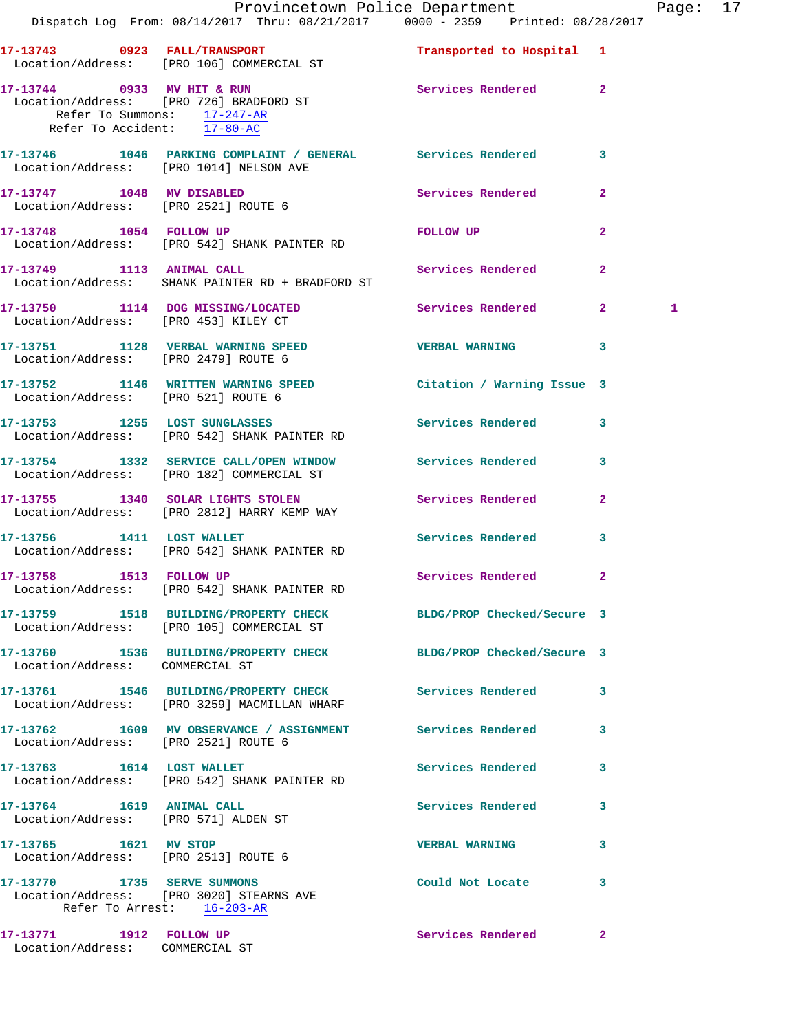|                                                                                          | Dispatch Log From: 08/14/2017 Thru: 08/21/2017 0000 - 2359 Printed: 08/28/2017                                | Provincetown Police Department |              | Page: 17 |  |
|------------------------------------------------------------------------------------------|---------------------------------------------------------------------------------------------------------------|--------------------------------|--------------|----------|--|
|                                                                                          | 17-13743 0923 FALL/TRANSPORT<br>Location/Address: [PRO 106] COMMERCIAL ST                                     | Transported to Hospital 1      |              |          |  |
| 17-13744 0933 MV HIT & RUN<br>Refer To Summons: 17-247-AR<br>Refer To Accident: 17-80-AC | Location/Address: [PRO 726] BRADFORD ST                                                                       | Services Rendered 2            |              |          |  |
| Location/Address: [PRO 1014] NELSON AVE                                                  | 17-13746 1046 PARKING COMPLAINT / GENERAL Services Rendered 3                                                 |                                |              |          |  |
| Location/Address: [PRO 2521] ROUTE 6                                                     | 17-13747 1048 MV DISABLED                                                                                     | Services Rendered              | $\mathbf{2}$ |          |  |
| 17-13748 1054 FOLLOW UP                                                                  | Location/Address: [PRO 542] SHANK PAINTER RD                                                                  | FOLLOW UP                      | $\mathbf{2}$ |          |  |
|                                                                                          | 17-13749 1113 ANIMAL CALL<br>Location/Address: SHANK PAINTER RD + BRADFORD ST                                 | Services Rendered 2            |              |          |  |
| Location/Address: [PRO 453] KILEY CT                                                     | 17-13750 1114 DOG MISSING/LOCATED Services Rendered 2                                                         |                                |              | 1        |  |
|                                                                                          |                                                                                                               | <b>VERBAL WARNING 3</b>        |              |          |  |
| Location/Address: [PRO 521] ROUTE 6                                                      | 17-13752 1146 WRITTEN WARNING SPEED Citation / Warning Issue 3                                                |                                |              |          |  |
|                                                                                          | 17-13753 1255 LOST SUNGLASSES<br>Location/Address: [PRO 542] SHANK PAINTER RD                                 | Services Rendered 3            |              |          |  |
|                                                                                          | 17-13754 1332 SERVICE CALL/OPEN WINDOW Services Rendered 3<br>Location/Address: [PRO 182] COMMERCIAL ST       |                                |              |          |  |
|                                                                                          | 17-13755 1340 SOLAR LIGHTS STOLEN Services Rendered 2<br>Location/Address: [PRO 2812] HARRY KEMP WAY          |                                |              |          |  |
| 17-13756 1411 LOST WALLET                                                                | Location/Address: [PRO 542] SHANK PAINTER RD                                                                  | <b>Services Rendered</b>       | $\mathbf{3}$ |          |  |
| 17-13758 1513 FOLLOW UP                                                                  | Location/Address: [PRO 542] SHANK PAINTER RD                                                                  | Services Rendered 2            |              |          |  |
|                                                                                          | 17-13759 1518 BUILDING/PROPERTY CHECK BLDG/PROP Checked/Secure 3<br>Location/Address: [PRO 105] COMMERCIAL ST |                                |              |          |  |
| Location/Address: COMMERCIAL ST                                                          | 17-13760 1536 BUILDING/PROPERTY CHECK BLDG/PROP Checked/Secure 3                                              |                                |              |          |  |
|                                                                                          | 17-13761 1546 BUILDING/PROPERTY CHECK Services Rendered 3<br>Location/Address: [PRO 3259] MACMILLAN WHARF     |                                |              |          |  |
|                                                                                          | 17-13762 1609 MV OBSERVANCE / ASSIGNMENT Services Rendered<br>Location/Address: [PRO 2521] ROUTE 6            |                                | 3            |          |  |
| 17-13763 1614 LOST WALLET                                                                | Location/Address: [PRO 542] SHANK PAINTER RD                                                                  | Services Rendered              | 3            |          |  |
| 17-13764 1619 ANIMAL CALL<br>Location/Address: [PRO 571] ALDEN ST                        |                                                                                                               | Services Rendered              | $\mathbf{3}$ |          |  |
| 17-13765 1621 MV STOP<br>Location/Address: [PRO 2513] ROUTE 6                            |                                                                                                               | <b>VERBAL WARNING</b>          | 3            |          |  |
|                                                                                          | 17-13770 1735 SERVE SUMMONS<br>Location/Address: [PRO 3020] STEARNS AVE<br>Refer To Arrest: $16-203-AR$       | Could Not Locate 3             |              |          |  |
| 17-13771 1912 FOLLOW UP<br>Location/Address: COMMERCIAL ST                               |                                                                                                               | Services Rendered              | $\mathbf{2}$ |          |  |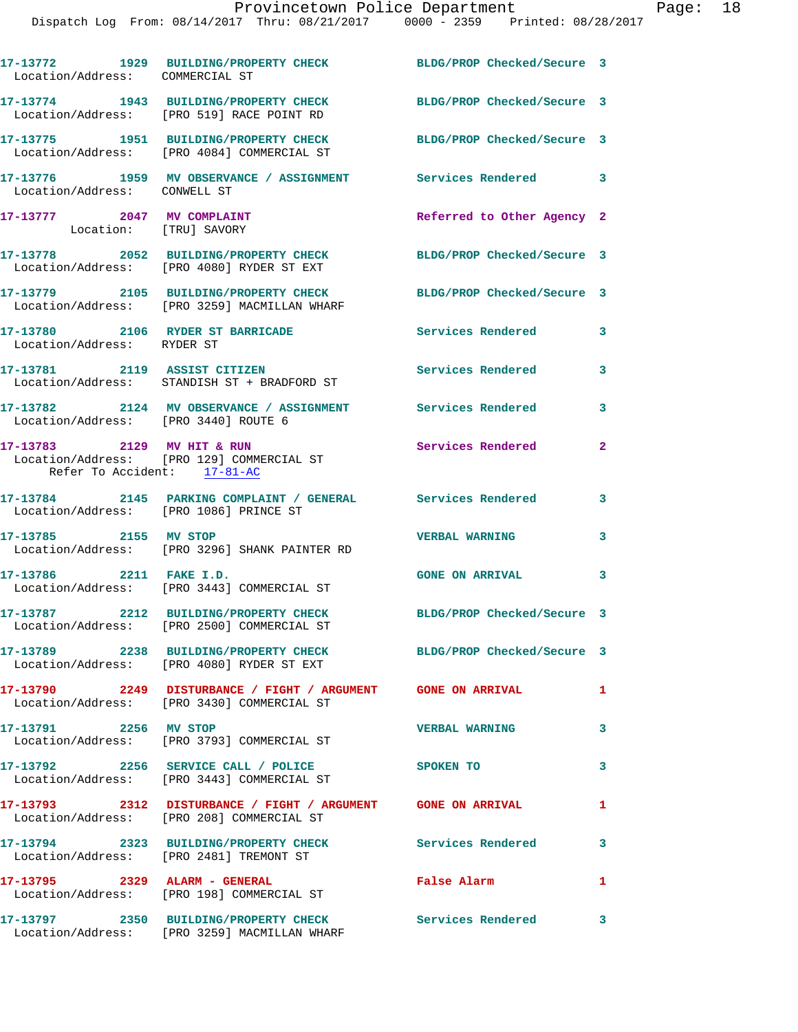| Location/Address: COMMERCIAL ST                      | 17-13772 1929 BUILDING/PROPERTY CHECK BLDG/PROP Checked/Secure 3                                           |                            |              |
|------------------------------------------------------|------------------------------------------------------------------------------------------------------------|----------------------------|--------------|
|                                                      | 17-13774 1943 BUILDING/PROPERTY CHECK<br>Location/Address: [PRO 519] RACE POINT RD                         | BLDG/PROP Checked/Secure 3 |              |
|                                                      | 17-13775 1951 BUILDING/PROPERTY CHECK<br>Location/Address: [PRO 4084] COMMERCIAL ST                        | BLDG/PROP Checked/Secure 3 |              |
| Location/Address: CONWELL ST                         | 17-13776 1959 MV OBSERVANCE / ASSIGNMENT Services Rendered 3                                               |                            |              |
| 17-13777 2047 MV COMPLAINT<br>Location: [TRU] SAVORY |                                                                                                            | Referred to Other Agency 2 |              |
|                                                      | 17-13778 2052 BUILDING/PROPERTY CHECK<br>Location/Address: [PRO 4080] RYDER ST EXT                         | BLDG/PROP Checked/Secure 3 |              |
|                                                      | 17-13779 2105 BUILDING/PROPERTY CHECK<br>Location/Address: [PRO 3259] MACMILLAN WHARF                      | BLDG/PROP Checked/Secure 3 |              |
| Location/Address: RYDER ST                           | 17-13780 2106 RYDER ST BARRICADE                                                                           | Services Rendered          | 3            |
|                                                      | 17-13781 2119 ASSIST CITIZEN<br>Location/Address: STANDISH ST + BRADFORD ST                                | Services Rendered          | 3            |
| Location/Address: [PRO 3440] ROUTE 6                 | 17-13782 2124 MV OBSERVANCE / ASSIGNMENT Services Rendered                                                 |                            | 3            |
| Refer To Accident: 17-81-AC                          | 17-13783 2129 MV HIT & RUN<br>Location/Address: [PRO 129] COMMERCIAL ST                                    | Services Rendered          | $\mathbf{2}$ |
| Location/Address: [PRO 1086] PRINCE ST               | 17-13784 2145 PARKING COMPLAINT / GENERAL Services Rendered                                                |                            | $\mathbf{3}$ |
| 17-13785 2155 MV STOP                                | Location/Address: [PRO 3296] SHANK PAINTER RD                                                              | <b>VERBAL WARNING</b>      | 3            |
| 17-13786 2211 FAKE I.D.                              | Location/Address: [PRO 3443] COMMERCIAL ST                                                                 | <b>GONE ON ARRIVAL</b>     | 3            |
|                                                      | 17-13787 2212 BUILDING/PROPERTY CHECK<br>Location/Address: [PRO 2500] COMMERCIAL ST                        | BLDG/PROP Checked/Secure 3 |              |
|                                                      | 17-13789 2238 BUILDING/PROPERTY CHECK<br>Location/Address: [PRO 4080] RYDER ST EXT                         | BLDG/PROP Checked/Secure 3 |              |
|                                                      | 17-13790 2249 DISTURBANCE / FIGHT / ARGUMENT GONE ON ARRIVAL<br>Location/Address: [PRO 3430] COMMERCIAL ST |                            | $\mathbf{1}$ |
| 17-13791 2256 MV STOP                                | Location/Address: [PRO 3793] COMMERCIAL ST                                                                 | <b>VERBAL WARNING</b>      | 3            |
|                                                      | 17-13792 2256 SERVICE CALL / POLICE<br>Location/Address: [PRO 3443] COMMERCIAL ST                          | <b>SPOKEN TO</b>           | 3            |
|                                                      | 17-13793 2312 DISTURBANCE / FIGHT / ARGUMENT GONE ON ARRIVAL<br>Location/Address: [PRO 208] COMMERCIAL ST  |                            | $\mathbf{1}$ |
|                                                      | 17-13794 2323 BUILDING/PROPERTY CHECK Services Rendered<br>Location/Address: [PRO 2481] TREMONT ST         |                            | 3            |
| 17-13795 2329 ALARM - GENERAL                        | Location/Address: [PRO 198] COMMERCIAL ST                                                                  | False Alarm                | $\mathbf{1}$ |
|                                                      | 17-13797 2350 BUILDING/PROPERTY CHECK Services Rendered<br>Location/Address: [PRO 3259] MACMILLAN WHARF    |                            | $\mathbf{3}$ |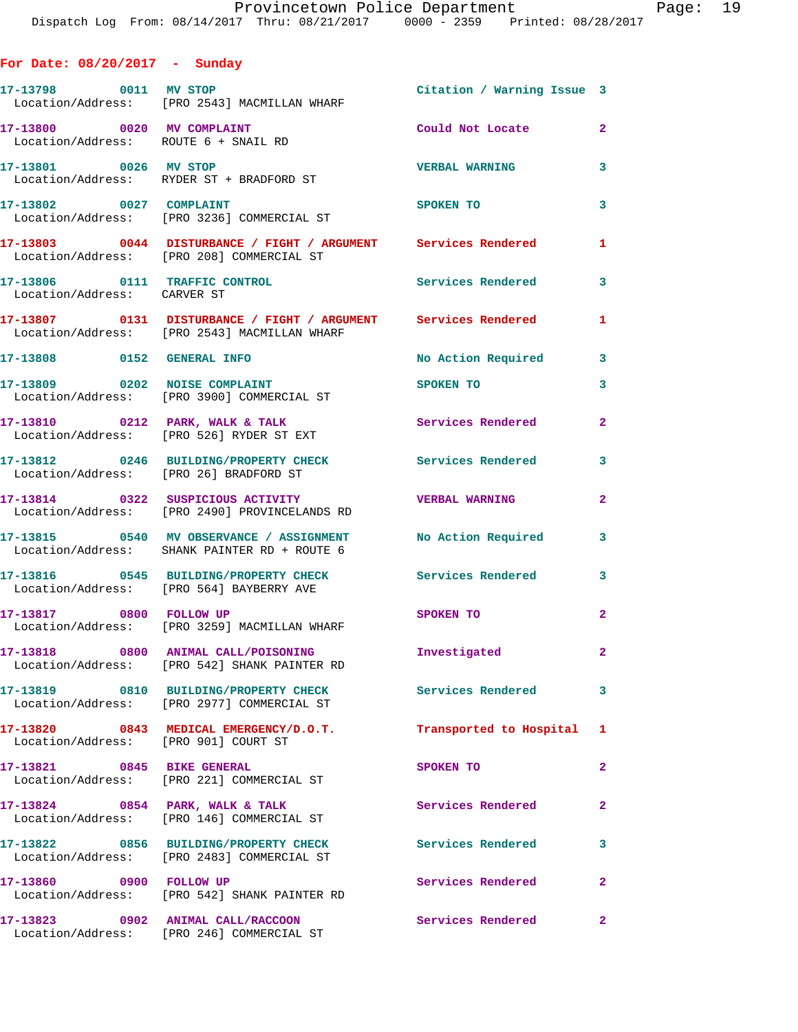| For Date: $08/20/2017$ - Sunday      |                                                                                                                |                            |                |
|--------------------------------------|----------------------------------------------------------------------------------------------------------------|----------------------------|----------------|
|                                      | 17-13798 0011 MV STOP<br>Location/Address: [PRO 2543] MACMILLAN WHARF                                          | Citation / Warning Issue 3 |                |
|                                      | 17-13800 0020 MV COMPLAINT<br>Location/Address: ROUTE 6 + SNAIL RD                                             | Could Not Locate           | $\mathbf{2}$   |
|                                      | 17-13801 0026 MV STOP<br>Location/Address: RYDER ST + BRADFORD ST                                              | <b>VERBAL WARNING</b>      | 3              |
|                                      | 17-13802 0027 COMPLAINT<br>Location/Address: [PRO 3236] COMMERCIAL ST                                          | <b>SPOKEN TO</b>           | 3              |
|                                      | 17-13803 0044 DISTURBANCE / FIGHT / ARGUMENT Services Rendered<br>Location/Address: [PRO 208] COMMERCIAL ST    |                            | 1.             |
| Location/Address: CARVER ST          | 17-13806  0111 TRAFFIC CONTROL  Services Rendered                                                              |                            | 3              |
|                                      | 17-13807 0131 DISTURBANCE / FIGHT / ARGUMENT Services Rendered<br>Location/Address: [PRO 2543] MACMILLAN WHARF |                            | $\mathbf{1}$   |
|                                      | 17-13808 0152 GENERAL INFO                                                                                     | No Action Required         | 3              |
|                                      | 17-13809 0202 NOISE COMPLAINT<br>Location/Address: [PRO 3900] COMMERCIAL ST                                    | SPOKEN TO                  | 3              |
|                                      | 17-13810 0212 PARK, WALK & TALK<br>Location/Address: [PRO 526] RYDER ST EXT                                    | <b>Services Rendered</b>   | $\overline{2}$ |
|                                      | 17-13812 0246 BUILDING/PROPERTY CHECK Services Rendered<br>Location/Address: [PRO 26] BRADFORD ST              |                            | $\mathbf{3}$   |
|                                      | 17-13814 0322 SUSPICIOUS ACTIVITY WERBAL WARNING<br>Location/Address: [PRO 2490] PROVINCELANDS RD              |                            | $\mathbf{2}$   |
|                                      | 17-13815 0540 MV OBSERVANCE / ASSIGNMENT No Action Required 3<br>Location/Address: SHANK PAINTER RD + ROUTE 6  |                            |                |
|                                      | 17-13816 0545 BUILDING/PROPERTY CHECK Services Rendered<br>Location/Address: [PRO 564] BAYBERRY AVE            |                            | $\mathbf{3}$   |
| 17-13817 0800 FOLLOW UP              | Location/Address: [PRO 3259] MACMILLAN WHARF                                                                   | SPOKEN TO                  | $\overline{2}$ |
|                                      | 17-13818 0800 ANIMAL CALL/POISONING<br>Location/Address: [PRO 542] SHANK PAINTER RD                            | Investigated               | $\mathbf{2}$   |
|                                      | 17-13819 0810 BUILDING/PROPERTY CHECK<br>Location/Address: [PRO 2977] COMMERCIAL ST                            | Services Rendered          | 3              |
| Location/Address: [PRO 901] COURT ST | 17-13820 0843 MEDICAL EMERGENCY/D.O.T.                                                                         | Transported to Hospital    | $\mathbf{1}$   |
|                                      | 17-13821 0845 BIKE GENERAL<br>Location/Address: [PRO 221] COMMERCIAL ST                                        | SPOKEN TO                  | $\overline{2}$ |
|                                      | 17-13824 0854 PARK, WALK & TALK<br>Location/Address: [PRO 146] COMMERCIAL ST                                   | Services Rendered          | $\overline{2}$ |
|                                      | 17-13822 0856 BUILDING/PROPERTY CHECK<br>Location/Address: [PRO 2483] COMMERCIAL ST                            | <b>Services Rendered</b>   | 3              |
| 17-13860 0900 FOLLOW UP              | Location/Address: [PRO 542] SHANK PAINTER RD                                                                   | Services Rendered          | $\mathbf{2}$   |
|                                      | 17-13823 0902 ANIMAL CALL/RACCOON<br>Location/Address: [PRO 246] COMMERCIAL ST                                 | Services Rendered          | $\mathbf{2}$   |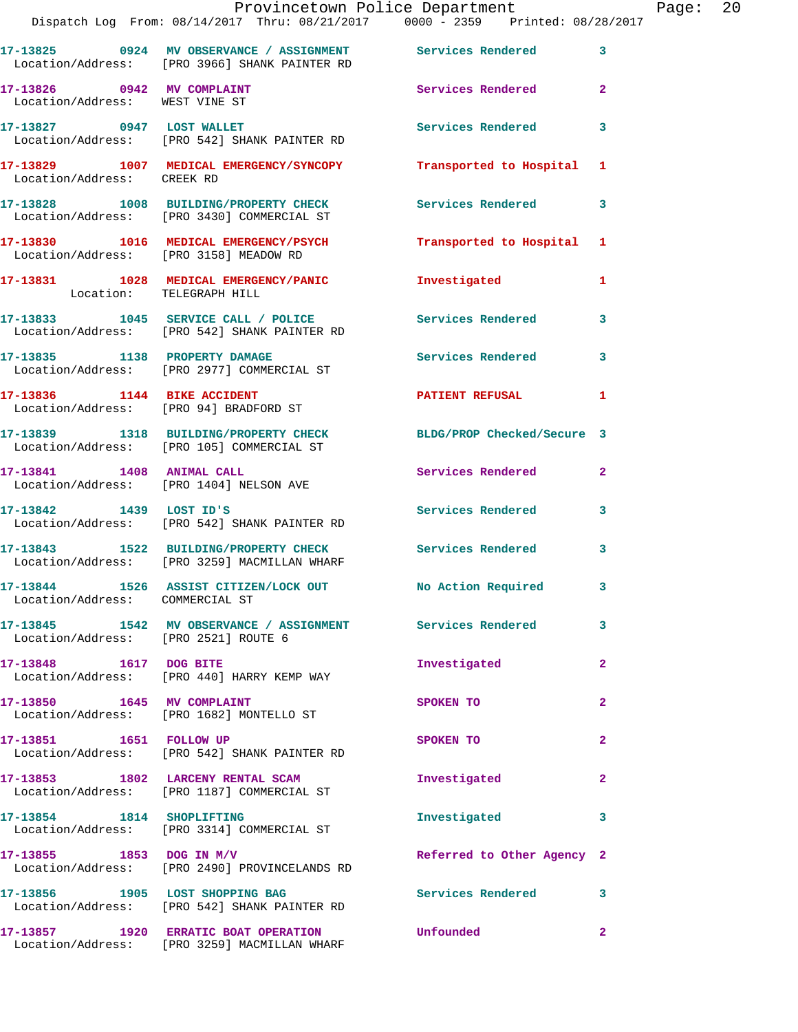|                                      | Provincetown Police Department<br>Dispatch Log From: 08/14/2017 Thru: 08/21/2017 0000 - 2359 Printed: 08/28/2017 |                            |                | Page: | 20 |
|--------------------------------------|------------------------------------------------------------------------------------------------------------------|----------------------------|----------------|-------|----|
|                                      | 17-13825 0924 MV OBSERVANCE / ASSIGNMENT Services Rendered<br>Location/Address: [PRO 3966] SHANK PAINTER RD      |                            | 3              |       |    |
| Location/Address: WEST VINE ST       | 17-13826 0942 MV COMPLAINT Services Rendered                                                                     |                            | $\overline{a}$ |       |    |
|                                      | 17-13827 0947 LOST WALLET<br>Location/Address: [PRO 542] SHANK PAINTER RD                                        | Services Rendered          | 3              |       |    |
| Location/Address: CREEK RD           | 17-13829 1007 MEDICAL EMERGENCY/SYNCOPY Transported to Hospital 1                                                |                            |                |       |    |
|                                      | 17-13828 1008 BUILDING/PROPERTY CHECK Services Rendered<br>Location/Address: [PRO 3430] COMMERCIAL ST            |                            | 3              |       |    |
|                                      | 17-13830 1016 MEDICAL EMERGENCY/PSYCH Transported to Hospital<br>Location/Address: [PRO 3158] MEADOW RD          |                            | 1              |       |    |
| Location: TELEGRAPH HILL             | 17-13831 1028 MEDICAL EMERGENCY/PANIC 1nvestigated                                                               |                            | 1              |       |    |
|                                      | 17-13833 1045 SERVICE CALL / POLICE 3 Services Rendered<br>Location/Address: [PRO 542] SHANK PAINTER RD          |                            | 3              |       |    |
|                                      | 17-13835 1138 PROPERTY DAMAGE<br>Location/Address: [PRO 2977] COMMERCIAL ST                                      | Services Rendered          | 3              |       |    |
|                                      | 17-13836 1144 BIKE ACCIDENT<br>Location/Address: [PRO 94] BRADFORD ST                                            | PATIENT REFUSAL            | 1              |       |    |
|                                      | 17-13839 1318 BUILDING/PROPERTY CHECK BLDG/PROP Checked/Secure 3<br>Location/Address: [PRO 105] COMMERCIAL ST    |                            |                |       |    |
|                                      | 17-13841 1408 ANIMAL CALL<br>Location/Address: [PRO 1404] NELSON AVE                                             | Services Rendered          | $\overline{2}$ |       |    |
|                                      | 17-13842 1439 LOST ID'S<br>Location/Address: [PRO 542] SHANK PAINTER RD                                          | Services Rendered 3        |                |       |    |
|                                      | 17-13843 1522 BUILDING/PROPERTY CHECK Services Rendered 3<br>Location/Address: [PRO 3259] MACMILLAN WHARF        |                            |                |       |    |
| Location/Address: COMMERCIAL ST      | 17-13844 1526 ASSIST CITIZEN/LOCK OUT No Action Required                                                         |                            |                |       |    |
| Location/Address: [PRO 2521] ROUTE 6 | 17-13845 1542 MV OBSERVANCE / ASSIGNMENT Services Rendered                                                       |                            | 3              |       |    |
| 17-13848 1617 DOG BITE               | Location/Address: [PRO 440] HARRY KEMP WAY                                                                       | Investigated               | $\overline{a}$ |       |    |
|                                      | 17-13850 1645 MV COMPLAINT<br>Location/Address: [PRO 1682] MONTELLO ST                                           | <b>SPOKEN TO</b>           | 2              |       |    |
| 17-13851 1651 FOLLOW UP              | Location/Address: [PRO 542] SHANK PAINTER RD                                                                     | SPOKEN TO                  | $\overline{a}$ |       |    |
|                                      | 17-13853 1802 LARCENY RENTAL SCAM<br>Location/Address: [PRO 1187] COMMERCIAL ST                                  | Investigated               | $\mathbf{2}$   |       |    |
| 17-13854 1814 SHOPLIFTING            | Location/Address: [PRO 3314] COMMERCIAL ST                                                                       | Investigated               | 3              |       |    |
|                                      | $17-13855$ 1853 DOG IN M/V<br>Location/Address: [PRO 2490] PROVINCELANDS RD                                      | Referred to Other Agency 2 |                |       |    |
|                                      | 17-13856 1905 LOST SHOPPING BAG<br>Location/Address: [PRO 542] SHANK PAINTER RD                                  | Services Rendered          | 3              |       |    |
|                                      | 17-13857 1920 ERRATIC BOAT OPERATION Unfounded<br>Location/Address: [PRO 3259] MACMILLAN WHARF                   |                            | $\overline{a}$ |       |    |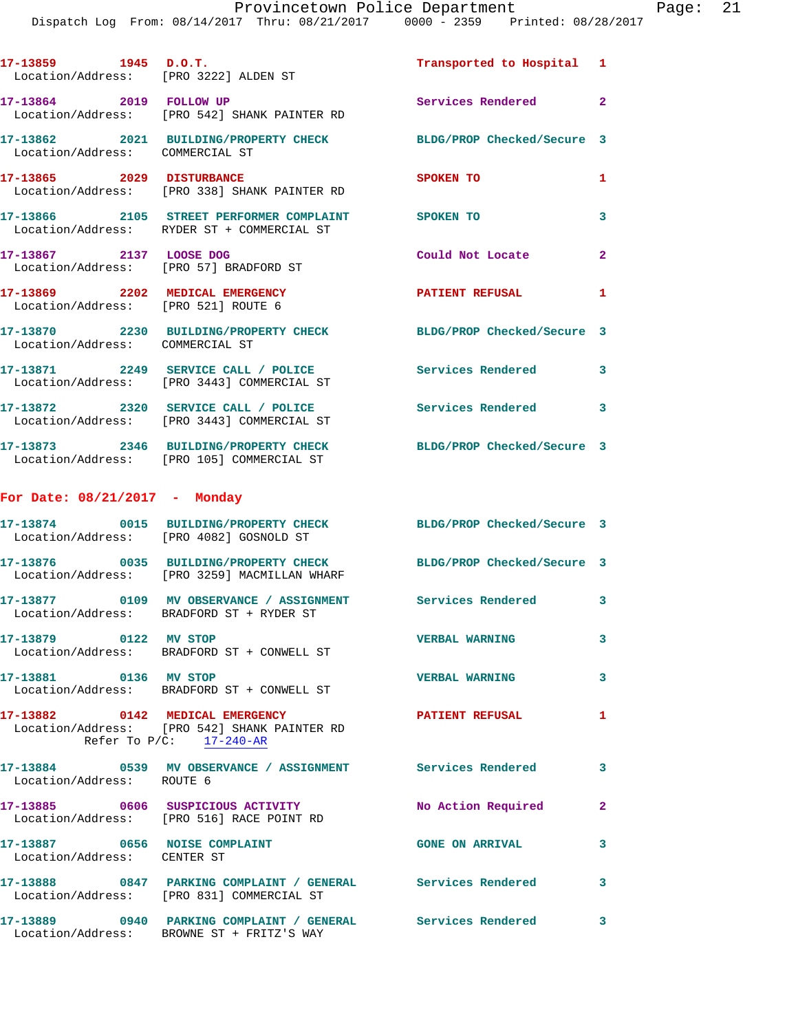Dispatch Log From: 08/14/2017 Thru: 08/21/2017 0000 - 2359 Printed: 08/28/2017

| 17-13859 1945 D.O.T.                                         | Location/Address: [PRO 3222] ALDEN ST                                                                            | Transported to Hospital 1  |                         |
|--------------------------------------------------------------|------------------------------------------------------------------------------------------------------------------|----------------------------|-------------------------|
|                                                              | 17-13864 2019 FOLLOW UP<br>Location/Address: [PRO 542] SHANK PAINTER RD                                          | Services Rendered 2        |                         |
| Location/Address: COMMERCIAL ST                              | 17-13862 2021 BUILDING/PROPERTY CHECK                                                                            | BLDG/PROP Checked/Secure 3 |                         |
|                                                              | 17-13865 2029 DISTURBANCE<br>Location/Address: [PRO 338] SHANK PAINTER RD                                        | SPOKEN TO                  | 1                       |
|                                                              | 17-13866 2105 STREET PERFORMER COMPLAINT SPOKEN TO<br>Location/Address: RYDER ST + COMMERCIAL ST                 |                            | 3                       |
| 17-13867 2137 LOOSE DOG                                      | Location/Address: [PRO 57] BRADFORD ST                                                                           | Could Not Locate 2         |                         |
| Location/Address: [PRO 521] ROUTE 6                          | 17-13869 2202 MEDICAL EMERGENCY                                                                                  | PATIENT REFUSAL            | $\mathbf{1}$            |
| Location/Address: COMMERCIAL ST                              | 17-13870 2230 BUILDING/PROPERTY CHECK BLDG/PROP Checked/Secure 3                                                 |                            |                         |
|                                                              | 17-13871 2249 SERVICE CALL / POLICE<br>Location/Address: [PRO 3443] COMMERCIAL ST                                | Services Rendered          | 3                       |
|                                                              | 17-13872 2320 SERVICE CALL / POLICE<br>Location/Address: [PRO 3443] COMMERCIAL ST                                | Services Rendered 3        |                         |
|                                                              | 17-13873 2346 BUILDING/PROPERTY CHECK<br>Location/Address: [PRO 105] COMMERCIAL ST                               | BLDG/PROP Checked/Secure 3 |                         |
| For Date: $08/21/2017$ - Monday                              |                                                                                                                  |                            |                         |
|                                                              | 17-13874 0015 BUILDING/PROPERTY CHECK<br>Location/Address: [PRO 4082] GOSNOLD ST                                 | BLDG/PROP Checked/Secure 3 |                         |
|                                                              | 17-13876 0035 BUILDING/PROPERTY CHECK BLDG/PROP Checked/Secure 3<br>Location/Address: [PRO 3259] MACMILLAN WHARF |                            |                         |
|                                                              | 17-13877 0109 MV OBSERVANCE / ASSIGNMENT<br>Location/Address: BRADFORD ST + RYDER ST                             | Services Rendered 3        |                         |
| 17-13879 0122 MV STOP                                        | Location/Address: BRADFORD ST + CONWELL ST                                                                       | <b>VERBAL WARNING</b>      | 3                       |
| 17-13881 0136 MV STOP                                        | Location/Address: BRADFORD ST + CONWELL ST                                                                       | <b>VERBAL WARNING</b>      | $\overline{\mathbf{3}}$ |
|                                                              | 17-13882 0142 MEDICAL EMERGENCY<br>Location/Address: [PRO 542] SHANK PAINTER RD<br>Refer To $P/C$ : $17-240$ -AR | <b>PATIENT REFUSAL</b>     | 1                       |
| Location/Address: ROUTE 6                                    | 17-13884 0539 MV OBSERVANCE / ASSIGNMENT Services Rendered 3                                                     |                            |                         |
|                                                              | 17-13885 0606 SUSPICIOUS ACTIVITY<br>Location/Address: [PRO 516] RACE POINT RD                                   | No Action Required         | $\mathbf{2}$            |
| 17-13887 0656 NOISE COMPLAINT<br>Location/Address: CENTER ST |                                                                                                                  | <b>GONE ON ARRIVAL</b>     | 3                       |
|                                                              | 17-13888 0847 PARKING COMPLAINT / GENERAL Services Rendered<br>Location/Address: [PRO 831] COMMERCIAL ST         |                            | 3                       |
|                                                              | 17-13889 0940 PARKING COMPLAINT / GENERAL Services Rendered 3<br>Location/Address: BROWNE ST + FRITZ'S WAY       |                            |                         |
|                                                              |                                                                                                                  |                            |                         |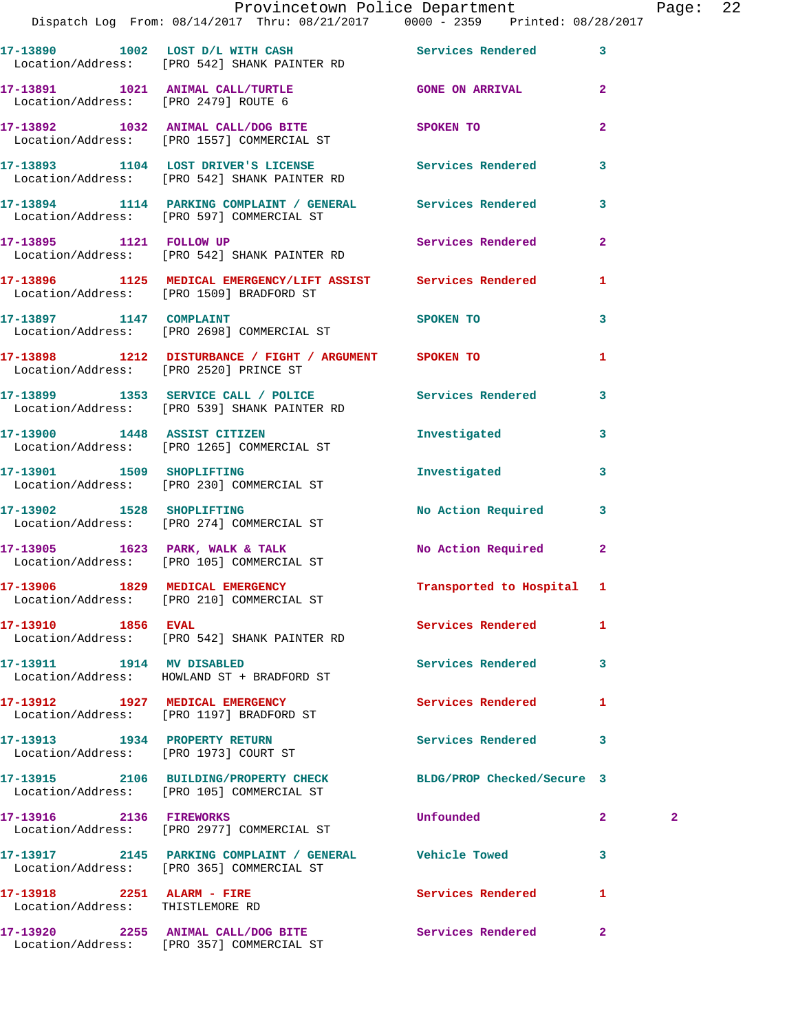|                                                                | Provincetown Police Department<br>Dispatch Log From: 08/14/2017 Thru: 08/21/2017 0000 - 2359 Printed: 08/28/2017   |                            |                         | Page: 22     |  |
|----------------------------------------------------------------|--------------------------------------------------------------------------------------------------------------------|----------------------------|-------------------------|--------------|--|
|                                                                | 17-13890 1002 LOST D/L WITH CASH Services Rendered 3<br>Location/Address: [PRO 542] SHANK PAINTER RD               |                            |                         |              |  |
|                                                                | 17-13891 1021 ANIMAL CALL/TURTLE GONE ON ARRIVAL 2<br>Location/Address: [PRO 2479] ROUTE 6                         |                            |                         |              |  |
|                                                                | 17-13892 1032 ANIMAL CALL/DOG BITE SPOKEN TO<br>Location/Address: [PRO 1557] COMMERCIAL ST                         |                            | $\overline{2}$          |              |  |
|                                                                | 17-13893 1104 LOST DRIVER'S LICENSE 10 Services Rendered<br>Location/Address: [PRO 542] SHANK PAINTER RD           |                            | $\mathbf{3}$            |              |  |
|                                                                | 17-13894 1114 PARKING COMPLAINT / GENERAL Services Rendered 3<br>Location/Address: [PRO 597] COMMERCIAL ST         |                            |                         |              |  |
|                                                                | 17-13895 1121 FOLLOW UP<br>Location/Address: [PRO 542] SHANK PAINTER RD                                            | Services Rendered 2        |                         |              |  |
|                                                                | 17-13896 1125 MEDICAL EMERGENCY/LIFT ASSIST Services Rendered 1<br>Location/Address: [PRO 1509] BRADFORD ST        |                            |                         |              |  |
|                                                                | 17-13897 1147 COMPLAINT<br>Location/Address: [PRO 2698] COMMERCIAL ST                                              | SPOKEN TO                  | $\mathbf{3}$            |              |  |
|                                                                | 17-13898 1212 DISTURBANCE / FIGHT / ARGUMENT SPOKEN TO<br>Location/Address: [PRO 2520] PRINCE ST                   |                            | $\mathbf{1}$            |              |  |
|                                                                | 17-13899 1353 SERVICE CALL / POLICE 3 Services Rendered 3<br>Location/Address: [PRO 539] SHANK PAINTER RD          |                            |                         |              |  |
|                                                                | 17-13900 1448 ASSIST CITIZEN<br>Location/Address: [PRO 1265] COMMERCIAL ST                                         | Investigated               | $\overline{\mathbf{3}}$ |              |  |
|                                                                | 17-13901 1509 SHOPLIFTING<br>Location/Address: [PRO 230] COMMERCIAL ST                                             | Investigated               | $\mathbf{3}$            |              |  |
|                                                                | 17-13902 1528 SHOPLIFTING<br>Location/Address: [PRO 274] COMMERCIAL ST                                             | No Action Required 3       |                         |              |  |
|                                                                | 17-13905 1623 PARK, WALK & TALK<br>Location/Address: [PRO 105] COMMERCIAL ST                                       | No Action Required 2       |                         |              |  |
|                                                                | 17-13906 1829 MEDICAL EMERGENCY <b>1888</b> Transported to Hospital 1<br>Location/Address: [PRO 210] COMMERCIAL ST |                            |                         |              |  |
| 17-13910 1856 EVAL                                             | Location/Address: [PRO 542] SHANK PAINTER RD                                                                       | Services Rendered          | $\mathbf{1}$            |              |  |
| 17-13911 1914 MV DISABLED                                      | Location/Address: HOWLAND ST + BRADFORD ST                                                                         | Services Rendered 3        |                         |              |  |
|                                                                | 17-13912 1927 MEDICAL EMERGENCY<br>Location/Address: [PRO 1197] BRADFORD ST                                        | <b>Services Rendered</b>   | 1                       |              |  |
|                                                                | 17-13913 1934 PROPERTY RETURN<br>Location/Address: [PRO 1973] COURT ST                                             | Services Rendered 3        |                         |              |  |
|                                                                | 17-13915 2106 BUILDING/PROPERTY CHECK<br>Location/Address: [PRO 105] COMMERCIAL ST                                 | BLDG/PROP Checked/Secure 3 |                         |              |  |
| 17-13916 2136 FIREWORKS                                        | Location/Address: [PRO 2977] COMMERCIAL ST                                                                         | Unfounded                  | $\mathbf{2}$            | $\mathbf{2}$ |  |
|                                                                | Location/Address: [PRO 365] COMMERCIAL ST                                                                          |                            | 3                       |              |  |
| 17-13918 2251 ALARM - FIRE<br>Location/Address: THISTLEMORE RD |                                                                                                                    | Services Rendered          | $\mathbf{1}$            |              |  |
|                                                                |                                                                                                                    |                            |                         |              |  |

Location/Address: [PRO 357] COMMERCIAL ST